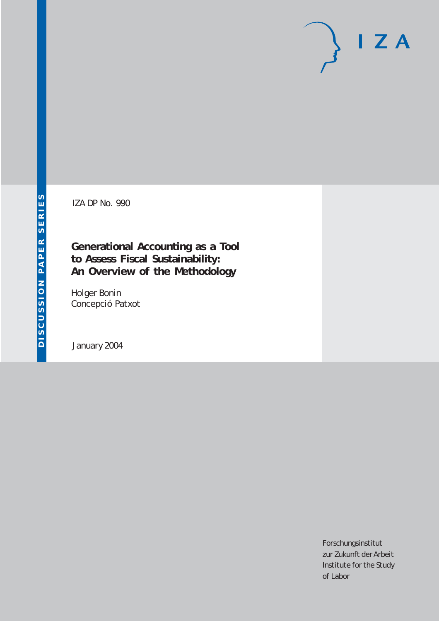# $I Z A$

IZA DP No. 990

## **Generational Accounting as a Tool to Assess Fiscal Sustainability: An Overview of the Methodology**

Holger Bonin Concepció Patxot

January 2004

Forschungsinstitut zur Zukunft der Arbeit Institute for the Study of Labor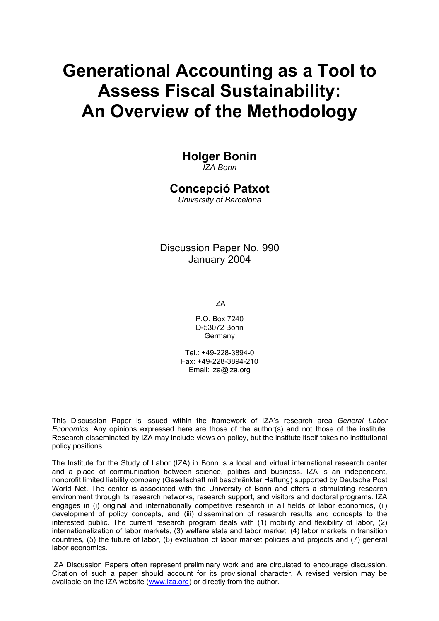# **Generational Accounting as a Tool to Assess Fiscal Sustainability: An Overview of the Methodology**

## **Holger Bonin**

*IZA Bonn* 

### **Concepció Patxot**

*University of Barcelona*

Discussion Paper No. 990 January 2004

IZA

P.O. Box 7240 D-53072 Bonn Germany

 $Tel + 49-228-3894-0$ Fax: +49-228-3894-210 Email: [iza@iza.org](mailto:iza@iza.org)

This Discussion Paper is issued within the framework of IZA's research area *General Labor Economics.* Any opinions expressed here are those of the author(s) and not those of the institute. Research disseminated by IZA may include views on policy, but the institute itself takes no institutional policy positions.

The Institute for the Study of Labor (IZA) in Bonn is a local and virtual international research center and a place of communication between science, politics and business. IZA is an independent, nonprofit limited liability company (Gesellschaft mit beschränkter Haftung) supported by Deutsche Post World Net. The center is associated with the University of Bonn and offers a stimulating research environment through its research networks, research support, and visitors and doctoral programs. IZA engages in (i) original and internationally competitive research in all fields of labor economics, (ii) development of policy concepts, and (iii) dissemination of research results and concepts to the interested public. The current research program deals with (1) mobility and flexibility of labor, (2) internationalization of labor markets, (3) welfare state and labor market, (4) labor markets in transition countries, (5) the future of labor, (6) evaluation of labor market policies and projects and (7) general labor economics.

IZA Discussion Papers often represent preliminary work and are circulated to encourage discussion. Citation of such a paper should account for its provisional character. A revised version may be available on the IZA website ([www.iza.org](http://www.iza.org/)) or directly from the author.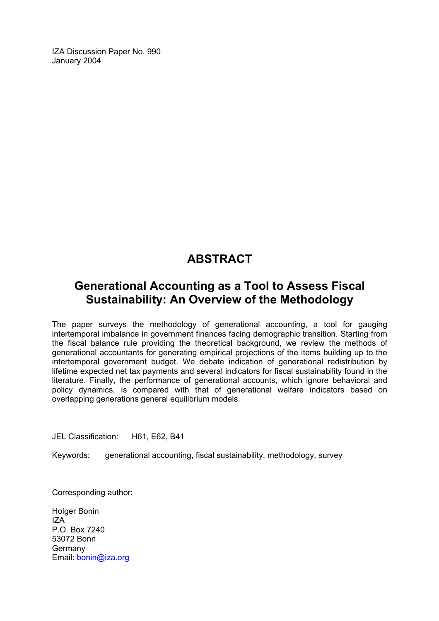IZA Discussion Paper No. 990 January 2004

## **ABSTRACT**

## **Generational Accounting as a Tool to Assess Fiscal Sustainability: An Overview of the Methodology**

The paper surveys the methodology of generational accounting, a tool for gauging intertemporal imbalance in government finances facing demographic transition. Starting from the fiscal balance rule providing the theoretical background, we review the methods of generational accountants for generating empirical projections of the items building up to the intertemporal government budget. We debate indication of generational redistribution by lifetime expected net tax payments and several indicators for fiscal sustainability found in the literature. Finally, the performance of generational accounts, which ignore behavioral and policy dynamics, is compared with that of generational welfare indicators based on overlapping generations general equilibrium models.

JEL Classification: H61, E62, B41

Keywords: generational accounting, fiscal sustainability, methodology, survey

Corresponding author:

Holger Bonin  $IZA$ P.O. Box 7240 53072 Bonn Germany Email: [bonin@iza.org](mailto:bonin@iza.org)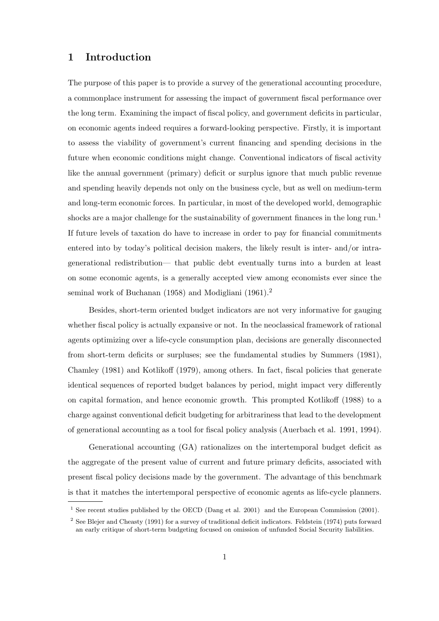#### 1 Introduction

The purpose of this paper is to provide a survey of the generational accounting procedure, a commonplace instrument for assessing the impact of government fiscal performance over the long term. Examining the impact of fiscal policy, and government deficits in particular, on economic agents indeed requires a forward-looking perspective. Firstly, it is important to assess the viability of government's current financing and spending decisions in the future when economic conditions might change. Conventional indicators of fiscal activity like the annual government (primary) deficit or surplus ignore that much public revenue and spending heavily depends not only on the business cycle, but as well on medium-term and long-term economic forces. In particular, in most of the developed world, demographic shocks are a major challenge for the sustainability of government finances in the long run.<sup>1</sup> If future levels of taxation do have to increase in order to pay for financial commitments entered into by today's political decision makers, the likely result is inter- and/or intragenerational redistribution— that public debt eventually turns into a burden at least on some economic agents, is a generally accepted view among economists ever since the seminal work of Buchanan (1958) and Modigliani (1961).<sup>2</sup>

Besides, short-term oriented budget indicators are not very informative for gauging whether fiscal policy is actually expansive or not. In the neoclassical framework of rational agents optimizing over a life-cycle consumption plan, decisions are generally disconnected from short-term deficits or surpluses; see the fundamental studies by Summers (1981), Chamley (1981) and Kotlikoff (1979), among others. In fact, fiscal policies that generate identical sequences of reported budget balances by period, might impact very differently on capital formation, and hence economic growth. This prompted Kotlikoff (1988) to a charge against conventional deficit budgeting for arbitrariness that lead to the development of generational accounting as a tool for fiscal policy analysis (Auerbach et al. 1991, 1994).

Generational accounting (GA) rationalizes on the intertemporal budget deficit as the aggregate of the present value of current and future primary deficits, associated with present fiscal policy decisions made by the government. The advantage of this benchmark is that it matches the intertemporal perspective of economic agents as life-cycle planners.

<sup>&</sup>lt;sup>1</sup> See recent studies published by the OECD (Dang et al. 2001) and the European Commission (2001).

<sup>2</sup> See Blejer and Cheasty (1991) for a survey of traditional deficit indicators. Feldstein (1974) puts forward an early critique of short-term budgeting focused on omission of unfunded Social Security liabilities.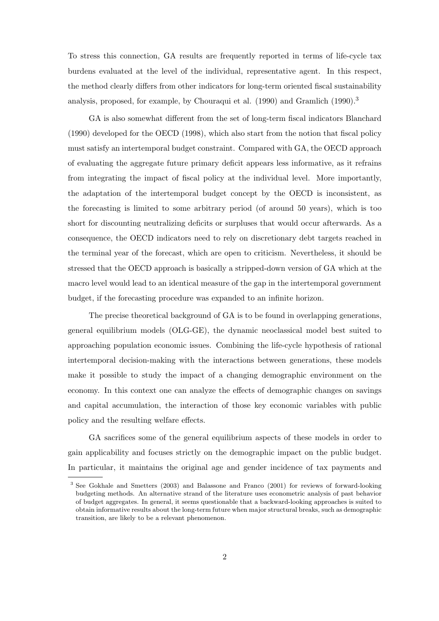To stress this connection, GA results are frequently reported in terms of life-cycle tax burdens evaluated at the level of the individual, representative agent. In this respect, the method clearly differs from other indicators for long-term oriented fiscal sustainability analysis, proposed, for example, by Chouraqui et al. (1990) and Gramlich (1990).<sup>3</sup>

GA is also somewhat different from the set of long-term fiscal indicators Blanchard (1990) developed for the OECD (1998), which also start from the notion that fiscal policy must satisfy an intertemporal budget constraint. Compared with GA, the OECD approach of evaluating the aggregate future primary deficit appears less informative, as it refrains from integrating the impact of fiscal policy at the individual level. More importantly, the adaptation of the intertemporal budget concept by the OECD is inconsistent, as the forecasting is limited to some arbitrary period (of around 50 years), which is too short for discounting neutralizing deficits or surpluses that would occur afterwards. As a consequence, the OECD indicators need to rely on discretionary debt targets reached in the terminal year of the forecast, which are open to criticism. Nevertheless, it should be stressed that the OECD approach is basically a stripped-down version of GA which at the macro level would lead to an identical measure of the gap in the intertemporal government budget, if the forecasting procedure was expanded to an infinite horizon.

The precise theoretical background of GA is to be found in overlapping generations, general equilibrium models (OLG-GE), the dynamic neoclassical model best suited to approaching population economic issues. Combining the life-cycle hypothesis of rational intertemporal decision-making with the interactions between generations, these models make it possible to study the impact of a changing demographic environment on the economy. In this context one can analyze the effects of demographic changes on savings and capital accumulation, the interaction of those key economic variables with public policy and the resulting welfare effects.

GA sacrifices some of the general equilibrium aspects of these models in order to gain applicability and focuses strictly on the demographic impact on the public budget. In particular, it maintains the original age and gender incidence of tax payments and

<sup>&</sup>lt;sup>3</sup> See Gokhale and Smetters (2003) and Balassone and Franco (2001) for reviews of forward-looking budgeting methods. An alternative strand of the literature uses econometric analysis of past behavior of budget aggregates. In general, it seems questionable that a backward-looking approaches is suited to obtain informative results about the long-term future when major structural breaks, such as demographic transition, are likely to be a relevant phenomenon.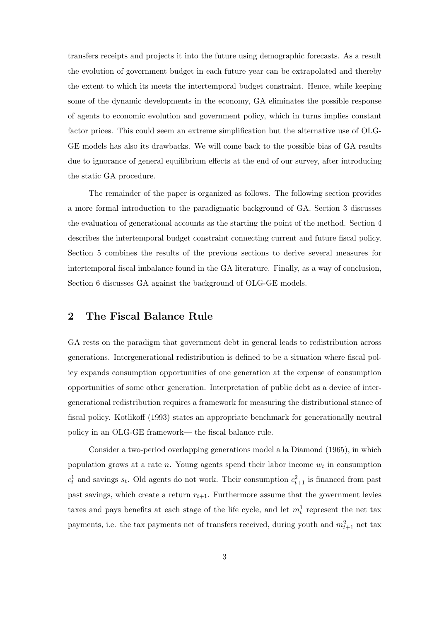transfers receipts and projects it into the future using demographic forecasts. As a result the evolution of government budget in each future year can be extrapolated and thereby the extent to which its meets the intertemporal budget constraint. Hence, while keeping some of the dynamic developments in the economy, GA eliminates the possible response of agents to economic evolution and government policy, which in turns implies constant factor prices. This could seem an extreme simplification but the alternative use of OLG-GE models has also its drawbacks. We will come back to the possible bias of GA results due to ignorance of general equilibrium effects at the end of our survey, after introducing the static GA procedure.

The remainder of the paper is organized as follows. The following section provides a more formal introduction to the paradigmatic background of GA. Section 3 discusses the evaluation of generational accounts as the starting the point of the method. Section 4 describes the intertemporal budget constraint connecting current and future fiscal policy. Section 5 combines the results of the previous sections to derive several measures for intertemporal fiscal imbalance found in the GA literature. Finally, as a way of conclusion, Section 6 discusses GA against the background of OLG-GE models.

#### 2 The Fiscal Balance Rule

GA rests on the paradigm that government debt in general leads to redistribution across generations. Intergenerational redistribution is defined to be a situation where fiscal policy expands consumption opportunities of one generation at the expense of consumption opportunities of some other generation. Interpretation of public debt as a device of intergenerational redistribution requires a framework for measuring the distributional stance of fiscal policy. Kotlikoff (1993) states an appropriate benchmark for generationally neutral policy in an OLG-GE framework— the fiscal balance rule.

Consider a two-period overlapping generations model a la Diamond (1965), in which population grows at a rate  $n$ . Young agents spend their labor income  $w_t$  in consumption  $c_t^1$  and savings  $s_t$ . Old agents do not work. Their consumption  $c_{t+1}^2$  is financed from past past savings, which create a return  $r_{t+1}$ . Furthermore assume that the government levies taxes and pays benefits at each stage of the life cycle, and let  $m_t^1$  represent the net tax payments, i.e. the tax payments net of transfers received, during youth and  $m_{t+1}^2$  net tax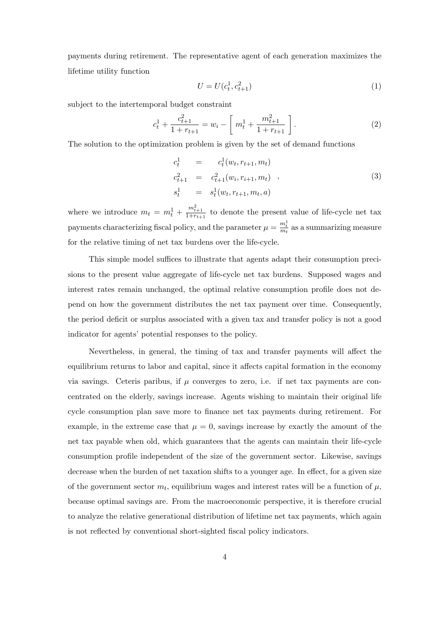payments during retirement. The representative agent of each generation maximizes the lifetime utility function

$$
U = U(c_t^1, c_{t+1}^2)
$$
\n<sup>(1)</sup>

subject to the intertemporal budget constraint

$$
c_t^1 + \frac{c_{t+1}^2}{1 + r_{t+1}} = w_i - \left[ m_t^1 + \frac{m_{t+1}^2}{1 + r_{t+1}} \right].
$$
 (2)

The solution to the optimization problem is given by the set of demand functions

$$
c_t^1 = c_t^1(w_t, r_{t+1}, m_t)
$$
  
\n
$$
c_{t+1}^2 = c_{t+1}^2(w_i, r_{i+1}, m_t),
$$
  
\n
$$
s_t^1 = s_t^1(w_t, r_{t+1}, m_t, a)
$$
\n(3)

where we introduce  $m_t = m_t^1 + \frac{m_{t+1}^2}{1+r_{t+1}}$  to denote the present value of life-cycle net tax payments characterizing fiscal policy, and the parameter  $\mu = \frac{m_t^1}{m_t}$  as a summarizing measure for the relative timing of net tax burdens over the life-cycle.

This simple model suffices to illustrate that agents adapt their consumption precisions to the present value aggregate of life-cycle net tax burdens. Supposed wages and interest rates remain unchanged, the optimal relative consumption profile does not depend on how the government distributes the net tax payment over time. Consequently, the period deficit or surplus associated with a given tax and transfer policy is not a good indicator for agents' potential responses to the policy.

Nevertheless, in general, the timing of tax and transfer payments will affect the equilibrium returns to labor and capital, since it affects capital formation in the economy via savings. Ceteris paribus, if  $\mu$  converges to zero, i.e. if net tax payments are concentrated on the elderly, savings increase. Agents wishing to maintain their original life cycle consumption plan save more to finance net tax payments during retirement. For example, in the extreme case that  $\mu = 0$ , savings increase by exactly the amount of the net tax payable when old, which guarantees that the agents can maintain their life-cycle consumption profile independent of the size of the government sector. Likewise, savings decrease when the burden of net taxation shifts to a younger age. In effect, for a given size of the government sector  $m_t$ , equilibrium wages and interest rates will be a function of  $\mu$ , because optimal savings are. From the macroeconomic perspective, it is therefore crucial to analyze the relative generational distribution of lifetime net tax payments, which again is not reflected by conventional short-sighted fiscal policy indicators.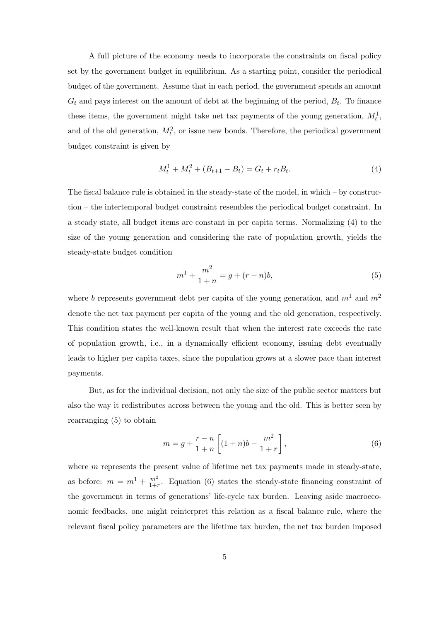A full picture of the economy needs to incorporate the constraints on fiscal policy set by the government budget in equilibrium. As a starting point, consider the periodical budget of the government. Assume that in each period, the government spends an amount  $G_t$  and pays interest on the amount of debt at the beginning of the period,  $B_t$ . To finance these items, the government might take net tax payments of the young generation,  $M_t^1$ , and of the old generation,  $M_t^2$ , or issue new bonds. Therefore, the periodical government budget constraint is given by

$$
M_t^1 + M_t^2 + (B_{t+1} - B_t) = G_t + r_t B_t.
$$
\n<sup>(4)</sup>

The fiscal balance rule is obtained in the steady-state of the model, in which – by construction – the intertemporal budget constraint resembles the periodical budget constraint. In a steady state, all budget items are constant in per capita terms. Normalizing (4) to the size of the young generation and considering the rate of population growth, yields the steady-state budget condition

$$
m^{1} + \frac{m^{2}}{1+n} = g + (r-n)b,
$$
\n(5)

where b represents government debt per capita of the young generation, and  $m^1$  and  $m^2$ denote the net tax payment per capita of the young and the old generation, respectively. This condition states the well-known result that when the interest rate exceeds the rate of population growth, i.e., in a dynamically efficient economy, issuing debt eventually leads to higher per capita taxes, since the population grows at a slower pace than interest payments.

But, as for the individual decision, not only the size of the public sector matters but also the way it redistributes across between the young and the old. This is better seen by rearranging (5) to obtain

$$
m = g + \frac{r - n}{1 + n} \left[ (1 + n)b - \frac{m^2}{1 + r} \right],
$$
\n(6)

where  $m$  represents the present value of lifetime net tax payments made in steady-state, as before:  $m = m^1 + \frac{m^2}{1+r^2}$  $\frac{m^2}{1+r}$ . Equation (6) states the steady-state financing constraint of the government in terms of generations' life-cycle tax burden. Leaving aside macroeconomic feedbacks, one might reinterpret this relation as a fiscal balance rule, where the relevant fiscal policy parameters are the lifetime tax burden, the net tax burden imposed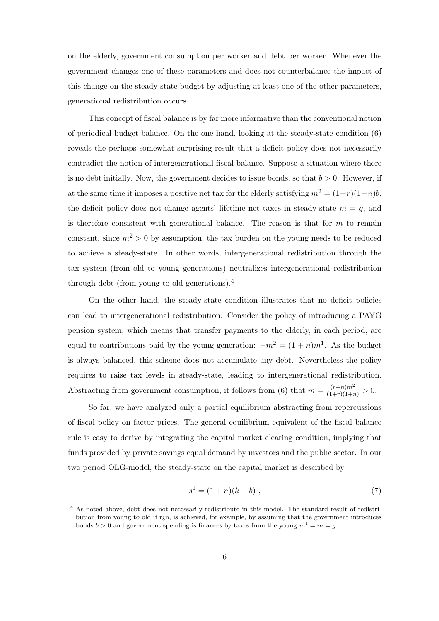on the elderly, government consumption per worker and debt per worker. Whenever the government changes one of these parameters and does not counterbalance the impact of this change on the steady-state budget by adjusting at least one of the other parameters, generational redistribution occurs.

This concept of fiscal balance is by far more informative than the conventional notion of periodical budget balance. On the one hand, looking at the steady-state condition (6) reveals the perhaps somewhat surprising result that a deficit policy does not necessarily contradict the notion of intergenerational fiscal balance. Suppose a situation where there is no debt initially. Now, the government decides to issue bonds, so that  $b > 0$ . However, if at the same time it imposes a positive net tax for the elderly satisfying  $m^2 = (1+r)(1+n)b$ , the deficit policy does not change agents' lifetime net taxes in steady-state  $m = g$ , and is therefore consistent with generational balance. The reason is that for  $m$  to remain constant, since  $m^2 > 0$  by assumption, the tax burden on the young needs to be reduced to achieve a steady-state. In other words, intergenerational redistribution through the tax system (from old to young generations) neutralizes intergenerational redistribution through debt (from young to old generations).<sup>4</sup>

On the other hand, the steady-state condition illustrates that no deficit policies can lead to intergenerational redistribution. Consider the policy of introducing a PAYG pension system, which means that transfer payments to the elderly, in each period, are equal to contributions paid by the young generation:  $-m^2 = (1+n)m^1$ . As the budget is always balanced, this scheme does not accumulate any debt. Nevertheless the policy requires to raise tax levels in steady-state, leading to intergenerational redistribution. Abstracting from government consumption, it follows from (6) that  $m = \frac{(r-n)m^2}{(1+r)(1+n)} > 0$ .

So far, we have analyzed only a partial equilibrium abstracting from repercussions of fiscal policy on factor prices. The general equilibrium equivalent of the fiscal balance rule is easy to derive by integrating the capital market clearing condition, implying that funds provided by private savings equal demand by investors and the public sector. In our two period OLG-model, the steady-state on the capital market is described by

$$
s^1 = (1+n)(k+b) \t{,} \t(7)
$$

<sup>&</sup>lt;sup>4</sup> As noted above, debt does not necessarily redistribute in this model. The standard result of redistribution from young to old if  $r_i$ n, is achieved, for example, by assuming that the government introduces bonds  $b > 0$  and government spending is finances by taxes from the young  $m^1 = m = g$ .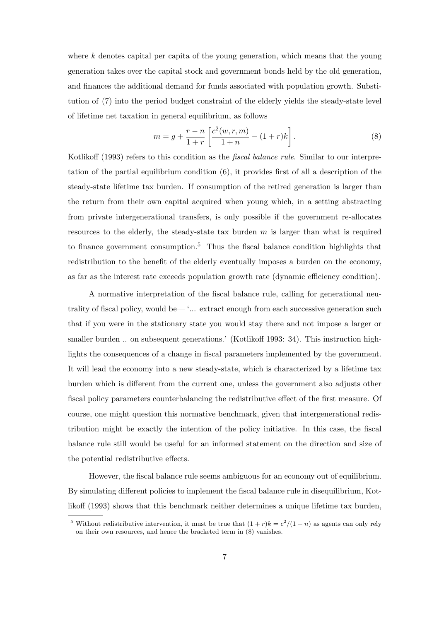where  $k$  denotes capital per capita of the young generation, which means that the young generation takes over the capital stock and government bonds held by the old generation, and finances the additional demand for funds associated with population growth. Substitution of (7) into the period budget constraint of the elderly yields the steady-state level of lifetime net taxation in general equilibrium, as follows

$$
m = g + \frac{r - n}{1 + r} \left[ \frac{c^2(w, r, m)}{1 + n} - (1 + r)k \right].
$$
 (8)

Kotlikoff (1993) refers to this condition as the *fiscal balance rule*. Similar to our interpretation of the partial equilibrium condition (6), it provides first of all a description of the steady-state lifetime tax burden. If consumption of the retired generation is larger than the return from their own capital acquired when young which, in a setting abstracting from private intergenerational transfers, is only possible if the government re-allocates resources to the elderly, the steady-state tax burden  $m$  is larger than what is required to finance government consumption.<sup>5</sup> Thus the fiscal balance condition highlights that redistribution to the benefit of the elderly eventually imposes a burden on the economy, as far as the interest rate exceeds population growth rate (dynamic efficiency condition).

A normative interpretation of the fiscal balance rule, calling for generational neutrality of fiscal policy, would be— '... extract enough from each successive generation such that if you were in the stationary state you would stay there and not impose a larger or smaller burden ... on subsequent generations.' (Kotlikoff 1993: 34). This instruction highlights the consequences of a change in fiscal parameters implemented by the government. It will lead the economy into a new steady-state, which is characterized by a lifetime tax burden which is different from the current one, unless the government also adjusts other fiscal policy parameters counterbalancing the redistributive effect of the first measure. Of course, one might question this normative benchmark, given that intergenerational redistribution might be exactly the intention of the policy initiative. In this case, the fiscal balance rule still would be useful for an informed statement on the direction and size of the potential redistributive effects.

However, the fiscal balance rule seems ambiguous for an economy out of equilibrium. By simulating different policies to implement the fiscal balance rule in disequilibrium, Kotlikoff (1993) shows that this benchmark neither determines a unique lifetime tax burden,

<sup>&</sup>lt;sup>5</sup> Without redistributive intervention, it must be true that  $(1 + r)k = c^2/(1 + n)$  as agents can only rely on their own resources, and hence the bracketed term in (8) vanishes.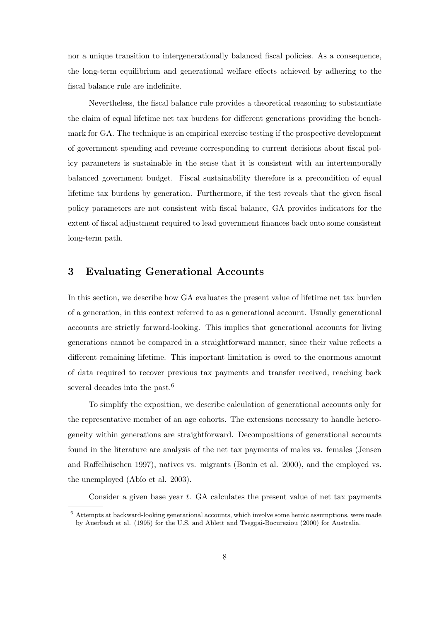nor a unique transition to intergenerationally balanced fiscal policies. As a consequence, the long-term equilibrium and generational welfare effects achieved by adhering to the fiscal balance rule are indefinite.

Nevertheless, the fiscal balance rule provides a theoretical reasoning to substantiate the claim of equal lifetime net tax burdens for different generations providing the benchmark for GA. The technique is an empirical exercise testing if the prospective development of government spending and revenue corresponding to current decisions about fiscal policy parameters is sustainable in the sense that it is consistent with an intertemporally balanced government budget. Fiscal sustainability therefore is a precondition of equal lifetime tax burdens by generation. Furthermore, if the test reveals that the given fiscal policy parameters are not consistent with fiscal balance, GA provides indicators for the extent of fiscal adjustment required to lead government finances back onto some consistent long-term path.

#### 3 Evaluating Generational Accounts

In this section, we describe how GA evaluates the present value of lifetime net tax burden of a generation, in this context referred to as a generational account. Usually generational accounts are strictly forward-looking. This implies that generational accounts for living generations cannot be compared in a straightforward manner, since their value reflects a different remaining lifetime. This important limitation is owed to the enormous amount of data required to recover previous tax payments and transfer received, reaching back several decades into the past.<sup>6</sup>

To simplify the exposition, we describe calculation of generational accounts only for the representative member of an age cohorts. The extensions necessary to handle heterogeneity within generations are straightforward. Decompositions of generational accounts found in the literature are analysis of the net tax payments of males vs. females (Jensen and Raffelhüschen 1997), natives vs. migrants (Bonin et al. 2000), and the employed vs. the unemployed (Abio et al. 2003).

Consider a given base year  $t$ . GA calculates the present value of net tax payments

 $6$  Attempts at backward-looking generational accounts, which involve some heroic assumptions, were made by Auerbach et al. (1995) for the U.S. and Ablett and Tseggai-Bocureziou (2000) for Australia.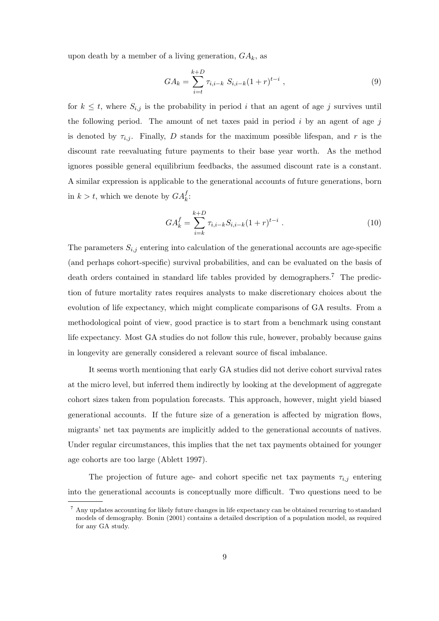upon death by a member of a living generation,  $GA_k$ , as

$$
GA_k = \sum_{i=t}^{k+D} \tau_{i,i-k} S_{i,i-k} (1+r)^{t-i} , \qquad (9)
$$

for  $k \leq t$ , where  $S_{i,j}$  is the probability in period i that an agent of age j survives until the following period. The amount of net taxes paid in period  $i$  by an agent of age  $j$ is denoted by  $\tau_{i,j}$ . Finally, D stands for the maximum possible lifespan, and r is the discount rate reevaluating future payments to their base year worth. As the method ignores possible general equilibrium feedbacks, the assumed discount rate is a constant. A similar expression is applicable to the generational accounts of future generations, born in  $k > t$ , which we denote by  $GA_k^f$ :

$$
GA_k^f = \sum_{i=k}^{k+D} \tau_{i,i-k} S_{i,i-k} (1+r)^{t-i} . \tag{10}
$$

The parameters  $S_{i,j}$  entering into calculation of the generational accounts are age-specific (and perhaps cohort-specific) survival probabilities, and can be evaluated on the basis of death orders contained in standard life tables provided by demographers.<sup>7</sup> The prediction of future mortality rates requires analysts to make discretionary choices about the evolution of life expectancy, which might complicate comparisons of GA results. From a methodological point of view, good practice is to start from a benchmark using constant life expectancy. Most GA studies do not follow this rule, however, probably because gains in longevity are generally considered a relevant source of fiscal imbalance.

It seems worth mentioning that early GA studies did not derive cohort survival rates at the micro level, but inferred them indirectly by looking at the development of aggregate cohort sizes taken from population forecasts. This approach, however, might yield biased generational accounts. If the future size of a generation is affected by migration flows, migrants' net tax payments are implicitly added to the generational accounts of natives. Under regular circumstances, this implies that the net tax payments obtained for younger age cohorts are too large (Ablett 1997).

The projection of future age- and cohort specific net tax payments  $\tau_{i,j}$  entering into the generational accounts is conceptually more difficult. Two questions need to be

<sup>7</sup> Any updates accounting for likely future changes in life expectancy can be obtained recurring to standard models of demography. Bonin (2001) contains a detailed description of a population model, as required for any GA study.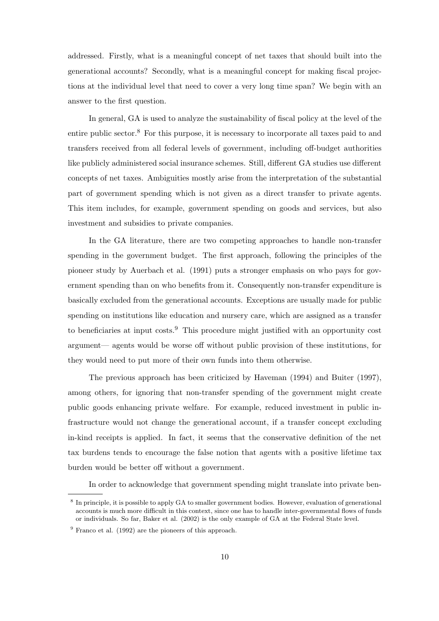addressed. Firstly, what is a meaningful concept of net taxes that should built into the generational accounts? Secondly, what is a meaningful concept for making fiscal projections at the individual level that need to cover a very long time span? We begin with an answer to the first question.

In general, GA is used to analyze the sustainability of fiscal policy at the level of the entire public sector.<sup>8</sup> For this purpose, it is necessary to incorporate all taxes paid to and transfers received from all federal levels of government, including off-budget authorities like publicly administered social insurance schemes. Still, different GA studies use different concepts of net taxes. Ambiguities mostly arise from the interpretation of the substantial part of government spending which is not given as a direct transfer to private agents. This item includes, for example, government spending on goods and services, but also investment and subsidies to private companies.

In the GA literature, there are two competing approaches to handle non-transfer spending in the government budget. The first approach, following the principles of the pioneer study by Auerbach et al. (1991) puts a stronger emphasis on who pays for government spending than on who benefits from it. Consequently non-transfer expenditure is basically excluded from the generational accounts. Exceptions are usually made for public spending on institutions like education and nursery care, which are assigned as a transfer to beneficiaries at input costs.<sup>9</sup> This procedure might justified with an opportunity cost argument— agents would be worse off without public provision of these institutions, for they would need to put more of their own funds into them otherwise.

The previous approach has been criticized by Haveman (1994) and Buiter (1997), among others, for ignoring that non-transfer spending of the government might create public goods enhancing private welfare. For example, reduced investment in public infrastructure would not change the generational account, if a transfer concept excluding in-kind receipts is applied. In fact, it seems that the conservative definition of the net tax burdens tends to encourage the false notion that agents with a positive lifetime tax burden would be better off without a government.

In order to acknowledge that government spending might translate into private ben-

<sup>&</sup>lt;sup>8</sup> In principle, it is possible to apply GA to smaller government bodies. However, evaluation of generational accounts is much more difficult in this context, since one has to handle inter-governmental flows of funds or individuals. So far, Baker et al. (2002) is the only example of GA at the Federal State level.

 $9$  Franco et al. (1992) are the pioneers of this approach.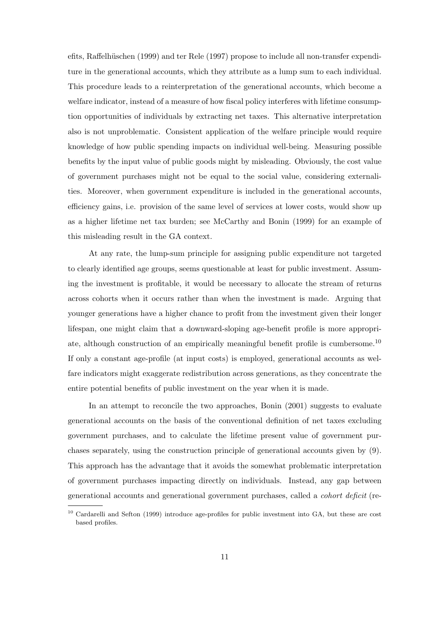efits, Raffelhüschen (1999) and ter Rele (1997) propose to include all non-transfer expenditure in the generational accounts, which they attribute as a lump sum to each individual. This procedure leads to a reinterpretation of the generational accounts, which become a welfare indicator, instead of a measure of how fiscal policy interferes with lifetime consumption opportunities of individuals by extracting net taxes. This alternative interpretation also is not unproblematic. Consistent application of the welfare principle would require knowledge of how public spending impacts on individual well-being. Measuring possible benefits by the input value of public goods might by misleading. Obviously, the cost value of government purchases might not be equal to the social value, considering externalities. Moreover, when government expenditure is included in the generational accounts, efficiency gains, i.e. provision of the same level of services at lower costs, would show up as a higher lifetime net tax burden; see McCarthy and Bonin (1999) for an example of this misleading result in the GA context.

At any rate, the lump-sum principle for assigning public expenditure not targeted to clearly identified age groups, seems questionable at least for public investment. Assuming the investment is profitable, it would be necessary to allocate the stream of returns across cohorts when it occurs rather than when the investment is made. Arguing that younger generations have a higher chance to profit from the investment given their longer lifespan, one might claim that a downward-sloping age-benefit profile is more appropriate, although construction of an empirically meaningful benefit profile is cumbersome.<sup>10</sup> If only a constant age-profile (at input costs) is employed, generational accounts as welfare indicators might exaggerate redistribution across generations, as they concentrate the entire potential benefits of public investment on the year when it is made.

In an attempt to reconcile the two approaches, Bonin (2001) suggests to evaluate generational accounts on the basis of the conventional definition of net taxes excluding government purchases, and to calculate the lifetime present value of government purchases separately, using the construction principle of generational accounts given by (9). This approach has the advantage that it avoids the somewhat problematic interpretation of government purchases impacting directly on individuals. Instead, any gap between generational accounts and generational government purchases, called a cohort deficit (re-

<sup>10</sup> Cardarelli and Sefton (1999) introduce age-profiles for public investment into GA, but these are cost based profiles.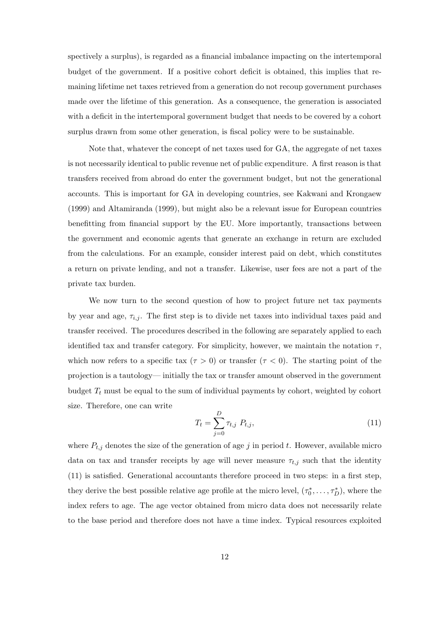spectively a surplus), is regarded as a financial imbalance impacting on the intertemporal budget of the government. If a positive cohort deficit is obtained, this implies that remaining lifetime net taxes retrieved from a generation do not recoup government purchases made over the lifetime of this generation. As a consequence, the generation is associated with a deficit in the intertemporal government budget that needs to be covered by a cohort surplus drawn from some other generation, is fiscal policy were to be sustainable.

Note that, whatever the concept of net taxes used for GA, the aggregate of net taxes is not necessarily identical to public revenue net of public expenditure. A first reason is that transfers received from abroad do enter the government budget, but not the generational accounts. This is important for GA in developing countries, see Kakwani and Krongaew (1999) and Altamiranda (1999), but might also be a relevant issue for European countries benefitting from financial support by the EU. More importantly, transactions between the government and economic agents that generate an exchange in return are excluded from the calculations. For an example, consider interest paid on debt, which constitutes a return on private lending, and not a transfer. Likewise, user fees are not a part of the private tax burden.

We now turn to the second question of how to project future net tax payments by year and age,  $\tau_{i,j}$ . The first step is to divide net taxes into individual taxes paid and transfer received. The procedures described in the following are separately applied to each identified tax and transfer category. For simplicity, however, we maintain the notation  $\tau$ , which now refers to a specific tax  $(\tau > 0)$  or transfer  $(\tau < 0)$ . The starting point of the projection is a tautology— initially the tax or transfer amount observed in the government budget  $T_t$  must be equal to the sum of individual payments by cohort, weighted by cohort size. Therefore, one can write  $\overline{D}$ 

$$
T_t = \sum_{j=0}^{D} \tau_{t,j} \ P_{t,j}, \tag{11}
$$

where  $P_{t,j}$  denotes the size of the generation of age j in period t. However, available micro data on tax and transfer receipts by age will never measure  $\tau_{t,j}$  such that the identity (11) is satisfied. Generational accountants therefore proceed in two steps: in a first step, they derive the best possible relative age profile at the micro level,  $(\tau_0^*$  $(\tau_0^*, \ldots, \tau_D^*)$ , where the index refers to age. The age vector obtained from micro data does not necessarily relate to the base period and therefore does not have a time index. Typical resources exploited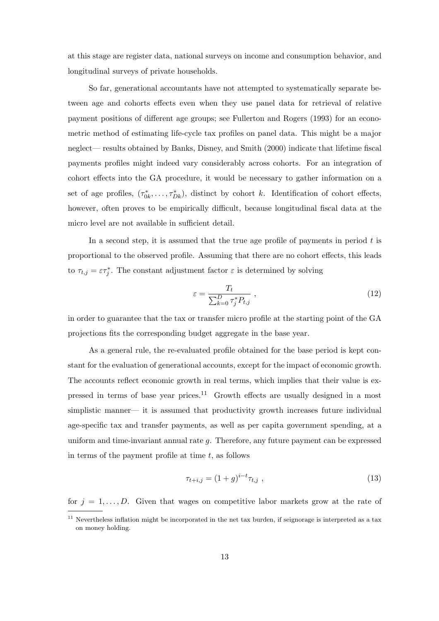at this stage are register data, national surveys on income and consumption behavior, and longitudinal surveys of private households.

So far, generational accountants have not attempted to systematically separate between age and cohorts effects even when they use panel data for retrieval of relative payment positions of different age groups; see Fullerton and Rogers (1993) for an econometric method of estimating life-cycle tax profiles on panel data. This might be a major neglect— results obtained by Banks, Disney, and Smith (2000) indicate that lifetime fiscal payments profiles might indeed vary considerably across cohorts. For an integration of cohort effects into the GA procedure, it would be necessary to gather information on a set of age profiles,  $(\tau_0^*)$  $(0_k^*, \ldots, \tau_{Dk}^*)$ , distinct by cohort k. Identification of cohort effects, however, often proves to be empirically difficult, because longitudinal fiscal data at the micro level are not available in sufficient detail.

In a second step, it is assumed that the true age profile of payments in period  $t$  is proportional to the observed profile. Assuming that there are no cohort effects, this leads to  $\tau_{t,j} = \varepsilon \tau_j^*$ . The constant adjustment factor  $\varepsilon$  is determined by solving

$$
\varepsilon = \frac{T_t}{\sum_{k=0}^D \tau_j^* P_{t,j}} \,, \tag{12}
$$

in order to guarantee that the tax or transfer micro profile at the starting point of the GA projections fits the corresponding budget aggregate in the base year.

As a general rule, the re-evaluated profile obtained for the base period is kept constant for the evaluation of generational accounts, except for the impact of economic growth. The accounts reflect economic growth in real terms, which implies that their value is expressed in terms of base year prices.<sup>11</sup> Growth effects are usually designed in a most simplistic manner— it is assumed that productivity growth increases future individual age-specific tax and transfer payments, as well as per capita government spending, at a uniform and time-invariant annual rate g. Therefore, any future payment can be expressed in terms of the payment profile at time  $t$ , as follows

$$
\tau_{t+i,j} = (1+g)^{i-t} \tau_{t,j} \tag{13}
$$

for  $j = 1, \ldots, D$ . Given that wages on competitive labor markets grow at the rate of

<sup>&</sup>lt;sup>11</sup> Nevertheless inflation might be incorporated in the net tax burden, if seignorage is interpreted as a tax on money holding.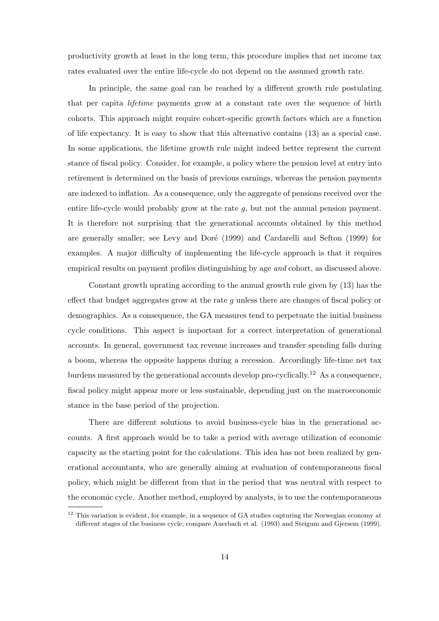productivity growth at least in the long term, this procedure implies that net income tax rates evaluated over the entire life-cycle do not depend on the assumed growth rate.

In principle, the same goal can be reached by a different growth rule postulating that per capita lifetime payments grow at a constant rate over the sequence of birth cohorts. This approach might require cohort-specific growth factors which are a function of life expectancy. It is easy to show that this alternative contains (13) as a special case. In some applications, the lifetime growth rule might indeed better represent the current stance of fiscal policy. Consider, for example, a policy where the pension level at entry into retirement is determined on the basis of previous earnings, whereas the pension payments are indexed to inflation. As a consequence, only the aggregate of pensions received over the entire life-cycle would probably grow at the rate g, but not the annual pension payment. It is therefore not surprising that the generational accounts obtained by this method are generally smaller; see Levy and Doré (1999) and Cardarelli and Sefton (1999) for examples. A major difficulty of implementing the life-cycle approach is that it requires empirical results on payment profiles distinguishing by age and cohort, as discussed above.

Constant growth uprating according to the annual growth rule given by (13) has the effect that budget aggregates grow at the rate  $q$  unless there are changes of fiscal policy or demographics. As a consequence, the GA measures tend to perpetuate the initial business cycle conditions. This aspect is important for a correct interpretation of generational accounts. In general, government tax revenue increases and transfer spending falls during a boom, whereas the opposite happens during a recession. Accordingly life-time net tax burdens measured by the generational accounts develop pro-cyclically.<sup>12</sup> As a consequence, fiscal policy might appear more or less sustainable, depending just on the macroeconomic stance in the base period of the projection.

There are different solutions to avoid business-cycle bias in the generational accounts. A first approach would be to take a period with average utilization of economic capacity as the starting point for the calculations. This idea has not been realized by generational accountants, who are generally aiming at evaluation of contemporaneous fiscal policy, which might be different from that in the period that was neutral with respect to the economic cycle. Another method, employed by analysts, is to use the contemporaneous

 $12$  This variation is evident, for example, in a sequence of GA studies capturing the Norwegian economy at different stages of the business cycle; compare Auerbach et al. (1993) and Steigum and Gjersem (1999).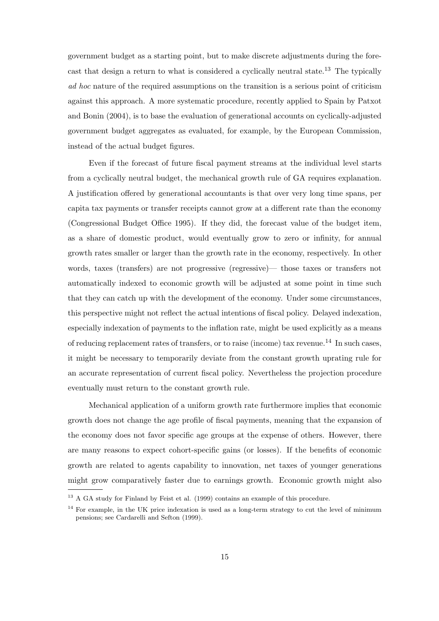government budget as a starting point, but to make discrete adjustments during the forecast that design a return to what is considered a cyclically neutral state.<sup>13</sup> The typically ad hoc nature of the required assumptions on the transition is a serious point of criticism against this approach. A more systematic procedure, recently applied to Spain by Patxot and Bonin (2004), is to base the evaluation of generational accounts on cyclically-adjusted government budget aggregates as evaluated, for example, by the European Commission, instead of the actual budget figures.

Even if the forecast of future fiscal payment streams at the individual level starts from a cyclically neutral budget, the mechanical growth rule of GA requires explanation. A justification offered by generational accountants is that over very long time spans, per capita tax payments or transfer receipts cannot grow at a different rate than the economy (Congressional Budget Office 1995). If they did, the forecast value of the budget item, as a share of domestic product, would eventually grow to zero or infinity, for annual growth rates smaller or larger than the growth rate in the economy, respectively. In other words, taxes (transfers) are not progressive (regressive)— those taxes or transfers not automatically indexed to economic growth will be adjusted at some point in time such that they can catch up with the development of the economy. Under some circumstances, this perspective might not reflect the actual intentions of fiscal policy. Delayed indexation, especially indexation of payments to the inflation rate, might be used explicitly as a means of reducing replacement rates of transfers, or to raise (income) tax revenue.<sup>14</sup> In such cases, it might be necessary to temporarily deviate from the constant growth uprating rule for an accurate representation of current fiscal policy. Nevertheless the projection procedure eventually must return to the constant growth rule.

Mechanical application of a uniform growth rate furthermore implies that economic growth does not change the age profile of fiscal payments, meaning that the expansion of the economy does not favor specific age groups at the expense of others. However, there are many reasons to expect cohort-specific gains (or losses). If the benefits of economic growth are related to agents capability to innovation, net taxes of younger generations might grow comparatively faster due to earnings growth. Economic growth might also

<sup>&</sup>lt;sup>13</sup> A GA study for Finland by Feist et al. (1999) contains an example of this procedure.

<sup>&</sup>lt;sup>14</sup> For example, in the UK price indexation is used as a long-term strategy to cut the level of minimum pensions; see Cardarelli and Sefton (1999).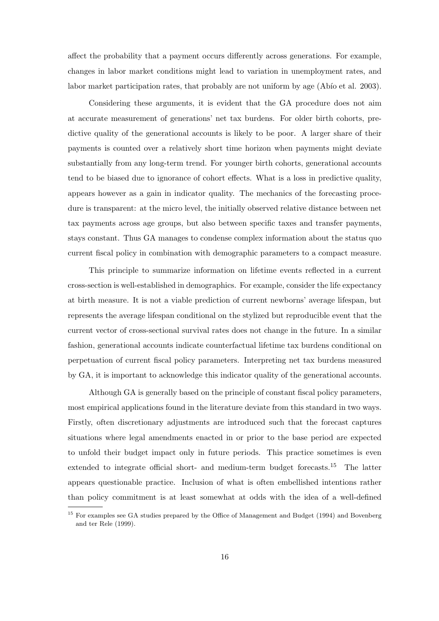affect the probability that a payment occurs differently across generations. For example, changes in labor market conditions might lead to variation in unemployment rates, and labor market participation rates, that probably are not uniform by age (Abio et al. 2003).

Considering these arguments, it is evident that the GA procedure does not aim at accurate measurement of generations' net tax burdens. For older birth cohorts, predictive quality of the generational accounts is likely to be poor. A larger share of their payments is counted over a relatively short time horizon when payments might deviate substantially from any long-term trend. For younger birth cohorts, generational accounts tend to be biased due to ignorance of cohort effects. What is a loss in predictive quality, appears however as a gain in indicator quality. The mechanics of the forecasting procedure is transparent: at the micro level, the initially observed relative distance between net tax payments across age groups, but also between specific taxes and transfer payments, stays constant. Thus GA manages to condense complex information about the status quo current fiscal policy in combination with demographic parameters to a compact measure.

This principle to summarize information on lifetime events reflected in a current cross-section is well-established in demographics. For example, consider the life expectancy at birth measure. It is not a viable prediction of current newborns' average lifespan, but represents the average lifespan conditional on the stylized but reproducible event that the current vector of cross-sectional survival rates does not change in the future. In a similar fashion, generational accounts indicate counterfactual lifetime tax burdens conditional on perpetuation of current fiscal policy parameters. Interpreting net tax burdens measured by GA, it is important to acknowledge this indicator quality of the generational accounts.

Although GA is generally based on the principle of constant fiscal policy parameters, most empirical applications found in the literature deviate from this standard in two ways. Firstly, often discretionary adjustments are introduced such that the forecast captures situations where legal amendments enacted in or prior to the base period are expected to unfold their budget impact only in future periods. This practice sometimes is even extended to integrate official short- and medium-term budget forecasts.<sup>15</sup> The latter appears questionable practice. Inclusion of what is often embellished intentions rather than policy commitment is at least somewhat at odds with the idea of a well-defined

<sup>&</sup>lt;sup>15</sup> For examples see GA studies prepared by the Office of Management and Budget (1994) and Bovenberg and ter Rele (1999).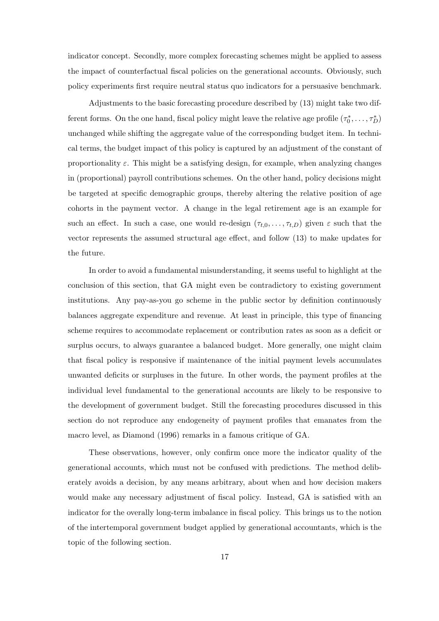indicator concept. Secondly, more complex forecasting schemes might be applied to assess the impact of counterfactual fiscal policies on the generational accounts. Obviously, such policy experiments first require neutral status quo indicators for a persuasive benchmark.

Adjustments to the basic forecasting procedure described by (13) might take two different forms. On the one hand, fiscal policy might leave the relative age profile  $(\tau_0^*$  $\tau_D^*, \ldots, \tau_D^*)$ unchanged while shifting the aggregate value of the corresponding budget item. In technical terms, the budget impact of this policy is captured by an adjustment of the constant of proportionality  $\varepsilon$ . This might be a satisfying design, for example, when analyzing changes in (proportional) payroll contributions schemes. On the other hand, policy decisions might be targeted at specific demographic groups, thereby altering the relative position of age cohorts in the payment vector. A change in the legal retirement age is an example for such an effect. In such a case, one would re-design  $(\tau_{t,0}, \ldots, \tau_{t,D})$  given  $\varepsilon$  such that the vector represents the assumed structural age effect, and follow (13) to make updates for the future.

In order to avoid a fundamental misunderstanding, it seems useful to highlight at the conclusion of this section, that GA might even be contradictory to existing government institutions. Any pay-as-you go scheme in the public sector by definition continuously balances aggregate expenditure and revenue. At least in principle, this type of financing scheme requires to accommodate replacement or contribution rates as soon as a deficit or surplus occurs, to always guarantee a balanced budget. More generally, one might claim that fiscal policy is responsive if maintenance of the initial payment levels accumulates unwanted deficits or surpluses in the future. In other words, the payment profiles at the individual level fundamental to the generational accounts are likely to be responsive to the development of government budget. Still the forecasting procedures discussed in this section do not reproduce any endogeneity of payment profiles that emanates from the macro level, as Diamond (1996) remarks in a famous critique of GA.

These observations, however, only confirm once more the indicator quality of the generational accounts, which must not be confused with predictions. The method deliberately avoids a decision, by any means arbitrary, about when and how decision makers would make any necessary adjustment of fiscal policy. Instead, GA is satisfied with an indicator for the overally long-term imbalance in fiscal policy. This brings us to the notion of the intertemporal government budget applied by generational accountants, which is the topic of the following section.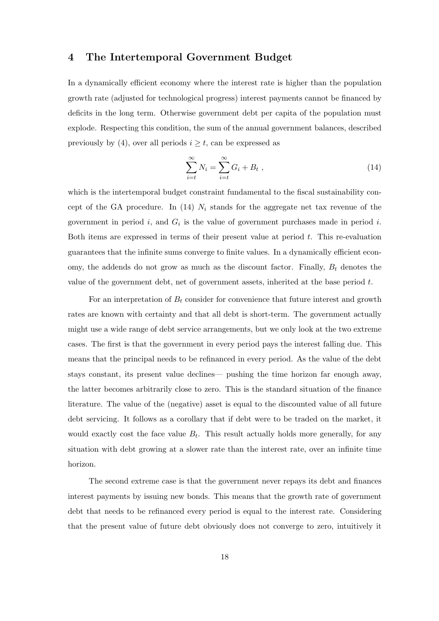#### 4 The Intertemporal Government Budget

In a dynamically efficient economy where the interest rate is higher than the population growth rate (adjusted for technological progress) interest payments cannot be financed by deficits in the long term. Otherwise government debt per capita of the population must explode. Respecting this condition, the sum of the annual government balances, described previously by (4), over all periods  $i \geq t$ , can be expressed as

$$
\sum_{i=t}^{\infty} N_i = \sum_{i=t}^{\infty} G_i + B_t , \qquad (14)
$$

which is the intertemporal budget constraint fundamental to the fiscal sustainability concept of the GA procedure. In (14)  $N_i$  stands for the aggregate net tax revenue of the government in period  $i$ , and  $G_i$  is the value of government purchases made in period  $i$ . Both items are expressed in terms of their present value at period  $t$ . This re-evaluation guarantees that the infinite sums converge to finite values. In a dynamically efficient economy, the addends do not grow as much as the discount factor. Finally,  $B_t$  denotes the value of the government debt, net of government assets, inherited at the base period  $t$ .

For an interpretation of  $B_t$  consider for convenience that future interest and growth rates are known with certainty and that all debt is short-term. The government actually might use a wide range of debt service arrangements, but we only look at the two extreme cases. The first is that the government in every period pays the interest falling due. This means that the principal needs to be refinanced in every period. As the value of the debt stays constant, its present value declines— pushing the time horizon far enough away, the latter becomes arbitrarily close to zero. This is the standard situation of the finance literature. The value of the (negative) asset is equal to the discounted value of all future debt servicing. It follows as a corollary that if debt were to be traded on the market, it would exactly cost the face value  $B_t$ . This result actually holds more generally, for any situation with debt growing at a slower rate than the interest rate, over an infinite time horizon.

The second extreme case is that the government never repays its debt and finances interest payments by issuing new bonds. This means that the growth rate of government debt that needs to be refinanced every period is equal to the interest rate. Considering that the present value of future debt obviously does not converge to zero, intuitively it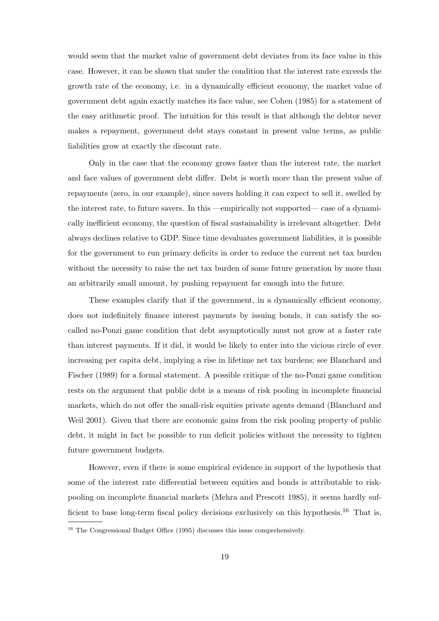would seem that the market value of government debt deviates from its face value in this case. However, it can be shown that under the condition that the interest rate exceeds the growth rate of the economy, i.e. in a dynamically efficient economy, the market value of government debt again exactly matches its face value, see Cohen (1985) for a statement of the easy arithmetic proof. The intuition for this result is that although the debtor never makes a repayment, government debt stays constant in present value terms, as public liabilities grow at exactly the discount rate.

Only in the case that the economy grows faster than the interest rate, the market and face values of government debt differ. Debt is worth more than the present value of repayments (zero, in our example), since savers holding it can expect to sell it, swelled by the interest rate, to future savers. In this —empirically not supported— case of a dynamically inefficient economy, the question of fiscal sustainability is irrelevant altogether. Debt always declines relative to GDP. Since time devaluates government liabilities, it is possible for the government to run primary deficits in order to reduce the current net tax burden without the necessity to raise the net tax burden of some future generation by more than an arbitrarily small amount, by pushing repayment far enough into the future.

These examples clarify that if the government, in a dynamically efficient economy, does not indefinitely finance interest payments by issuing bonds, it can satisfy the socalled no-Ponzi game condition that debt asymptotically must not grow at a faster rate than interest payments. If it did, it would be likely to enter into the vicious circle of ever increasing per capita debt, implying a rise in lifetime net tax burdens; see Blanchard and Fischer (1989) for a formal statement. A possible critique of the no-Ponzi game condition rests on the argument that public debt is a means of risk pooling in incomplete financial markets, which do not offer the small-risk equities private agents demand (Blanchard and Weil 2001). Given that there are economic gains from the risk pooling property of public debt, it might in fact be possible to run deficit policies without the necessity to tighten future government budgets.

However, even if there is some empirical evidence in support of the hypothesis that some of the interest rate differential between equities and bonds is attributable to riskpooling on incomplete financial markets (Mehra and Prescott 1985), it seems hardly sufficient to base long-term fiscal policy decisions exclusively on this hypothesis.<sup>16</sup> That is,

<sup>&</sup>lt;sup>16</sup> The Congressional Budget Office (1995) discusses this issue comprehensively.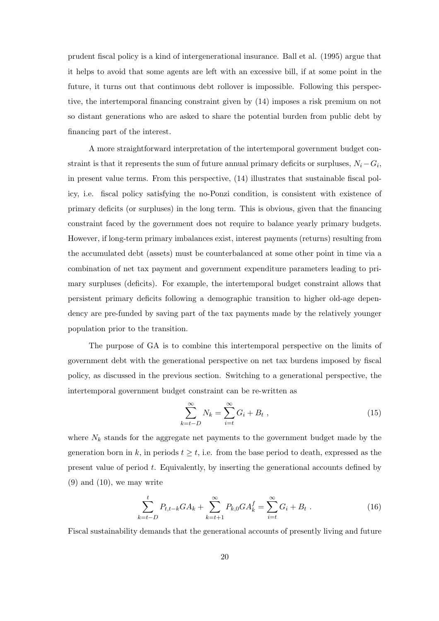prudent fiscal policy is a kind of intergenerational insurance. Ball et al. (1995) argue that it helps to avoid that some agents are left with an excessive bill, if at some point in the future, it turns out that continuous debt rollover is impossible. Following this perspective, the intertemporal financing constraint given by (14) imposes a risk premium on not so distant generations who are asked to share the potential burden from public debt by financing part of the interest.

A more straightforward interpretation of the intertemporal government budget constraint is that it represents the sum of future annual primary deficits or surpluses,  $N_i - G_i$ , in present value terms. From this perspective, (14) illustrates that sustainable fiscal policy, i.e. fiscal policy satisfying the no-Ponzi condition, is consistent with existence of primary deficits (or surpluses) in the long term. This is obvious, given that the financing constraint faced by the government does not require to balance yearly primary budgets. However, if long-term primary imbalances exist, interest payments (returns) resulting from the accumulated debt (assets) must be counterbalanced at some other point in time via a combination of net tax payment and government expenditure parameters leading to primary surpluses (deficits). For example, the intertemporal budget constraint allows that persistent primary deficits following a demographic transition to higher old-age dependency are pre-funded by saving part of the tax payments made by the relatively younger population prior to the transition.

The purpose of GA is to combine this intertemporal perspective on the limits of government debt with the generational perspective on net tax burdens imposed by fiscal policy, as discussed in the previous section. Switching to a generational perspective, the intertemporal government budget constraint can be re-written as

$$
\sum_{k=t-D}^{\infty} N_k = \sum_{i=t}^{\infty} G_i + B_t , \qquad (15)
$$

where  $N_k$  stands for the aggregate net payments to the government budget made by the generation born in k, in periods  $t \geq t$ , i.e. from the base period to death, expressed as the present value of period  $t$ . Equivalently, by inserting the generational accounts defined by  $(9)$  and  $(10)$ , we may write

$$
\sum_{k=t-D}^{t} P_{t,t-k} GA_k + \sum_{k=t+1}^{\infty} P_{k,0} GA_k^f = \sum_{i=t}^{\infty} G_i + B_t
$$
 (16)

Fiscal sustainability demands that the generational accounts of presently living and future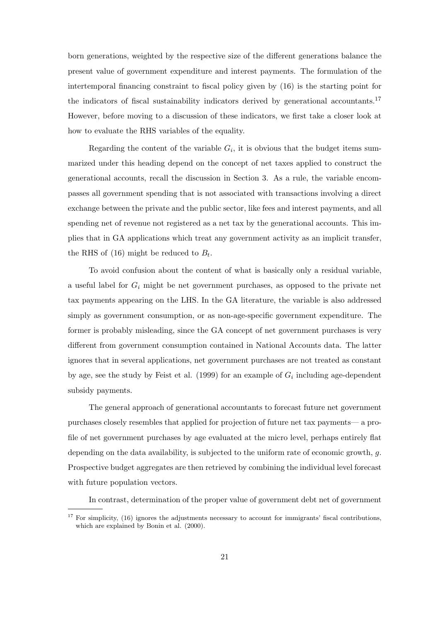born generations, weighted by the respective size of the different generations balance the present value of government expenditure and interest payments. The formulation of the intertemporal financing constraint to fiscal policy given by (16) is the starting point for the indicators of fiscal sustainability indicators derived by generational accountants.<sup>17</sup> However, before moving to a discussion of these indicators, we first take a closer look at how to evaluate the RHS variables of the equality.

Regarding the content of the variable  $G_i$ , it is obvious that the budget items summarized under this heading depend on the concept of net taxes applied to construct the generational accounts, recall the discussion in Section 3. As a rule, the variable encompasses all government spending that is not associated with transactions involving a direct exchange between the private and the public sector, like fees and interest payments, and all spending net of revenue not registered as a net tax by the generational accounts. This implies that in GA applications which treat any government activity as an implicit transfer, the RHS of  $(16)$  might be reduced to  $B_t$ .

To avoid confusion about the content of what is basically only a residual variable, a useful label for  $G_i$  might be net government purchases, as opposed to the private net tax payments appearing on the LHS. In the GA literature, the variable is also addressed simply as government consumption, or as non-age-specific government expenditure. The former is probably misleading, since the GA concept of net government purchases is very different from government consumption contained in National Accounts data. The latter ignores that in several applications, net government purchases are not treated as constant by age, see the study by Feist et al. (1999) for an example of  $G_i$  including age-dependent subsidy payments.

The general approach of generational accountants to forecast future net government purchases closely resembles that applied for projection of future net tax payments— a profile of net government purchases by age evaluated at the micro level, perhaps entirely flat depending on the data availability, is subjected to the uniform rate of economic growth, g. Prospective budget aggregates are then retrieved by combining the individual level forecast with future population vectors.

In contrast, determination of the proper value of government debt net of government

 $17$  For simplicity, (16) ignores the adjustments necessary to account for immigrants' fiscal contributions, which are explained by Bonin et al. (2000).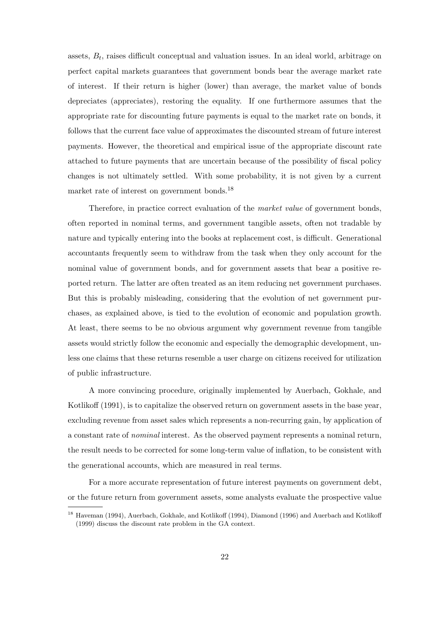assets,  $B_t$ , raises difficult conceptual and valuation issues. In an ideal world, arbitrage on perfect capital markets guarantees that government bonds bear the average market rate of interest. If their return is higher (lower) than average, the market value of bonds depreciates (appreciates), restoring the equality. If one furthermore assumes that the appropriate rate for discounting future payments is equal to the market rate on bonds, it follows that the current face value of approximates the discounted stream of future interest payments. However, the theoretical and empirical issue of the appropriate discount rate attached to future payments that are uncertain because of the possibility of fiscal policy changes is not ultimately settled. With some probability, it is not given by a current market rate of interest on government bonds.<sup>18</sup>

Therefore, in practice correct evaluation of the market value of government bonds, often reported in nominal terms, and government tangible assets, often not tradable by nature and typically entering into the books at replacement cost, is difficult. Generational accountants frequently seem to withdraw from the task when they only account for the nominal value of government bonds, and for government assets that bear a positive reported return. The latter are often treated as an item reducing net government purchases. But this is probably misleading, considering that the evolution of net government purchases, as explained above, is tied to the evolution of economic and population growth. At least, there seems to be no obvious argument why government revenue from tangible assets would strictly follow the economic and especially the demographic development, unless one claims that these returns resemble a user charge on citizens received for utilization of public infrastructure.

A more convincing procedure, originally implemented by Auerbach, Gokhale, and Kotlikoff (1991), is to capitalize the observed return on government assets in the base year, excluding revenue from asset sales which represents a non-recurring gain, by application of a constant rate of nominal interest. As the observed payment represents a nominal return, the result needs to be corrected for some long-term value of inflation, to be consistent with the generational accounts, which are measured in real terms.

For a more accurate representation of future interest payments on government debt, or the future return from government assets, some analysts evaluate the prospective value

<sup>&</sup>lt;sup>18</sup> Haveman (1994), Auerbach, Gokhale, and Kotlikoff (1994), Diamond (1996) and Auerbach and Kotlikoff (1999) discuss the discount rate problem in the GA context.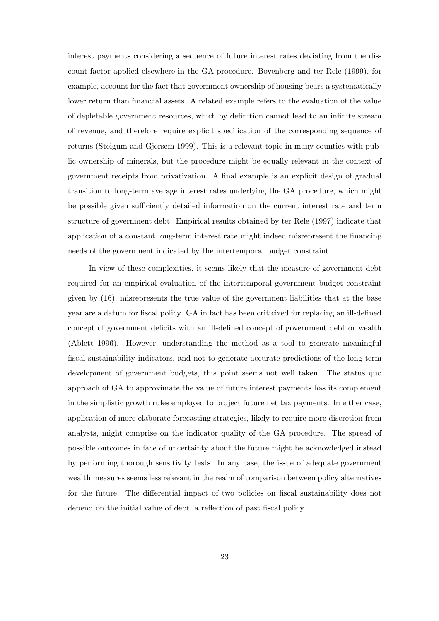interest payments considering a sequence of future interest rates deviating from the discount factor applied elsewhere in the GA procedure. Bovenberg and ter Rele (1999), for example, account for the fact that government ownership of housing bears a systematically lower return than financial assets. A related example refers to the evaluation of the value of depletable government resources, which by definition cannot lead to an infinite stream of revenue, and therefore require explicit specification of the corresponding sequence of returns (Steigum and Gjersem 1999). This is a relevant topic in many counties with public ownership of minerals, but the procedure might be equally relevant in the context of government receipts from privatization. A final example is an explicit design of gradual transition to long-term average interest rates underlying the GA procedure, which might be possible given sufficiently detailed information on the current interest rate and term structure of government debt. Empirical results obtained by ter Rele (1997) indicate that application of a constant long-term interest rate might indeed misrepresent the financing needs of the government indicated by the intertemporal budget constraint.

In view of these complexities, it seems likely that the measure of government debt required for an empirical evaluation of the intertemporal government budget constraint given by (16), misrepresents the true value of the government liabilities that at the base year are a datum for fiscal policy. GA in fact has been criticized for replacing an ill-defined concept of government deficits with an ill-defined concept of government debt or wealth (Ablett 1996). However, understanding the method as a tool to generate meaningful fiscal sustainability indicators, and not to generate accurate predictions of the long-term development of government budgets, this point seems not well taken. The status quo approach of GA to approximate the value of future interest payments has its complement in the simplistic growth rules employed to project future net tax payments. In either case, application of more elaborate forecasting strategies, likely to require more discretion from analysts, might comprise on the indicator quality of the GA procedure. The spread of possible outcomes in face of uncertainty about the future might be acknowledged instead by performing thorough sensitivity tests. In any case, the issue of adequate government wealth measures seems less relevant in the realm of comparison between policy alternatives for the future. The differential impact of two policies on fiscal sustainability does not depend on the initial value of debt, a reflection of past fiscal policy.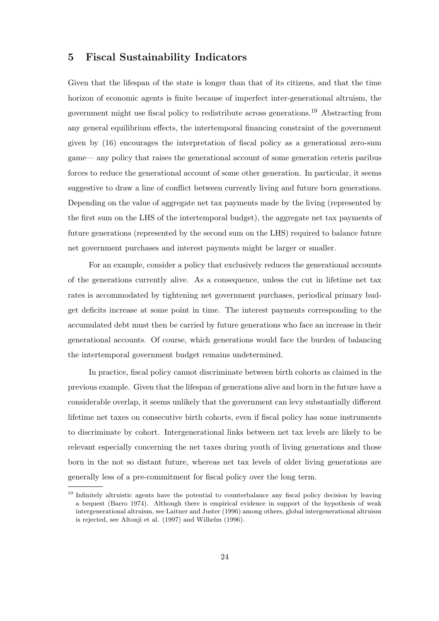#### 5 Fiscal Sustainability Indicators

Given that the lifespan of the state is longer than that of its citizens, and that the time horizon of economic agents is finite because of imperfect inter-generational altruism, the government might use fiscal policy to redistribute across generations.<sup>19</sup> Abstracting from any general equilibrium effects, the intertemporal financing constraint of the government given by (16) encourages the interpretation of fiscal policy as a generational zero-sum game— any policy that raises the generational account of some generation ceteris paribus forces to reduce the generational account of some other generation. In particular, it seems suggestive to draw a line of conflict between currently living and future born generations. Depending on the value of aggregate net tax payments made by the living (represented by the first sum on the LHS of the intertemporal budget), the aggregate net tax payments of future generations (represented by the second sum on the LHS) required to balance future net government purchases and interest payments might be larger or smaller.

For an example, consider a policy that exclusively reduces the generational accounts of the generations currently alive. As a consequence, unless the cut in lifetime net tax rates is accommodated by tightening net government purchases, periodical primary budget deficits increase at some point in time. The interest payments corresponding to the accumulated debt must then be carried by future generations who face an increase in their generational accounts. Of course, which generations would face the burden of balancing the intertemporal government budget remains undetermined.

In practice, fiscal policy cannot discriminate between birth cohorts as claimed in the previous example. Given that the lifespan of generations alive and born in the future have a considerable overlap, it seems unlikely that the government can levy substantially different lifetime net taxes on consecutive birth cohorts, even if fiscal policy has some instruments to discriminate by cohort. Intergenerational links between net tax levels are likely to be relevant especially concerning the net taxes during youth of living generations and those born in the not so distant future, whereas net tax levels of older living generations are generally less of a pre-commitment for fiscal policy over the long term.

<sup>&</sup>lt;sup>19</sup> Infinitely altruistic agents have the potential to counterbalance any fiscal policy decision by leaving a bequest (Barro 1974). Although there is empirical evidence in support of the hypothesis of weak intergenerational altruism, see Laitner and Juster (1996) among others, global intergenerational altruism is rejected, see Altonji et al. (1997) and Wilhelm (1996).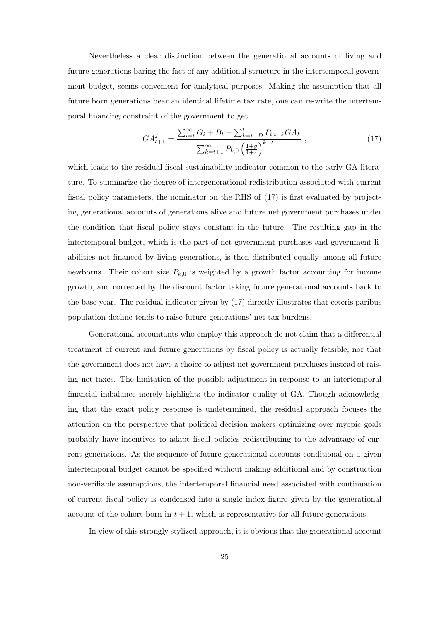Nevertheless a clear distinction between the generational accounts of living and future generations baring the fact of any additional structure in the intertemporal government budget, seems convenient for analytical purposes. Making the assumption that all future born generations bear an identical lifetime tax rate, one can re-write the intertemporal financing constraint of the government to get

$$
GA_{t+1}^f = \frac{\sum_{i=t}^{\infty} G_i + B_t - \sum_{k=t-D}^t P_{t,t-k} G A_k}{\sum_{k=t+1}^{\infty} P_{k,0} \left(\frac{1+g}{1+r}\right)^{k-t-1}},
$$
\n(17)

which leads to the residual fiscal sustainability indicator common to the early GA literature. To summarize the degree of intergenerational redistribution associated with current fiscal policy parameters, the nominator on the RHS of (17) is first evaluated by projecting generational accounts of generations alive and future net government purchases under the condition that fiscal policy stays constant in the future. The resulting gap in the intertemporal budget, which is the part of net government purchases and government liabilities not financed by living generations, is then distributed equally among all future newborns. Their cohort size  $P_{k,0}$  is weighted by a growth factor accounting for income growth, and corrected by the discount factor taking future generational accounts back to the base year. The residual indicator given by (17) directly illustrates that ceteris paribus population decline tends to raise future generations' net tax burdens.

Generational accountants who employ this approach do not claim that a differential treatment of current and future generations by fiscal policy is actually feasible, nor that the government does not have a choice to adjust net government purchases instead of raising net taxes. The limitation of the possible adjustment in response to an intertemporal financial imbalance merely highlights the indicator quality of GA. Though acknowledging that the exact policy response is undetermined, the residual approach focuses the attention on the perspective that political decision makers optimizing over myopic goals probably have incentives to adapt fiscal policies redistributing to the advantage of current generations. As the sequence of future generational accounts conditional on a given intertemporal budget cannot be specified without making additional and by construction non-verifiable assumptions, the intertemporal financial need associated with continuation of current fiscal policy is condensed into a single index figure given by the generational account of the cohort born in  $t + 1$ , which is representative for all future generations.

In view of this strongly stylized approach, it is obvious that the generational account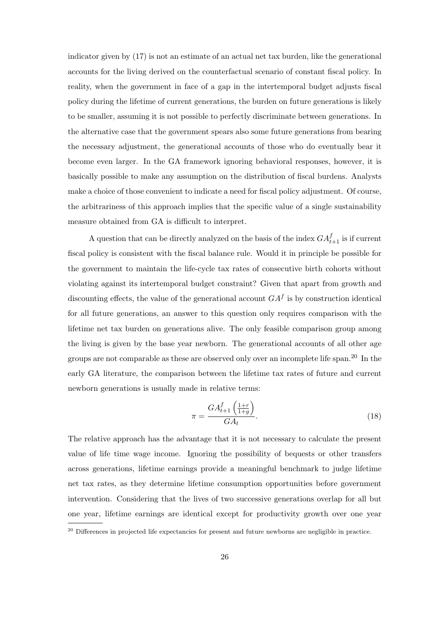indicator given by (17) is not an estimate of an actual net tax burden, like the generational accounts for the living derived on the counterfactual scenario of constant fiscal policy. In reality, when the government in face of a gap in the intertemporal budget adjusts fiscal policy during the lifetime of current generations, the burden on future generations is likely to be smaller, assuming it is not possible to perfectly discriminate between generations. In the alternative case that the government spears also some future generations from bearing the necessary adjustment, the generational accounts of those who do eventually bear it become even larger. In the GA framework ignoring behavioral responses, however, it is basically possible to make any assumption on the distribution of fiscal burdens. Analysts make a choice of those convenient to indicate a need for fiscal policy adjustment. Of course, the arbitrariness of this approach implies that the specific value of a single sustainability measure obtained from GA is difficult to interpret.

A question that can be directly analyzed on the basis of the index  $GA_{t+1}^f$  is if current fiscal policy is consistent with the fiscal balance rule. Would it in principle be possible for the government to maintain the life-cycle tax rates of consecutive birth cohorts without violating against its intertemporal budget constraint? Given that apart from growth and discounting effects, the value of the generational account  $GA<sup>f</sup>$  is by construction identical for all future generations, an answer to this question only requires comparison with the lifetime net tax burden on generations alive. The only feasible comparison group among the living is given by the base year newborn. The generational accounts of all other age groups are not comparable as these are observed only over an incomplete life span.<sup>20</sup> In the early GA literature, the comparison between the lifetime tax rates of future and current newborn generations is usually made in relative terms:

$$
\pi = \frac{GA_{t+1}^f\left(\frac{1+r}{1+g}\right)}{GA_t}.\tag{18}
$$

The relative approach has the advantage that it is not necessary to calculate the present value of life time wage income. Ignoring the possibility of bequests or other transfers across generations, lifetime earnings provide a meaningful benchmark to judge lifetime net tax rates, as they determine lifetime consumption opportunities before government intervention. Considering that the lives of two successive generations overlap for all but one year, lifetime earnings are identical except for productivity growth over one year

<sup>&</sup>lt;sup>20</sup> Differences in projected life expectancies for present and future newborns are negligible in practice.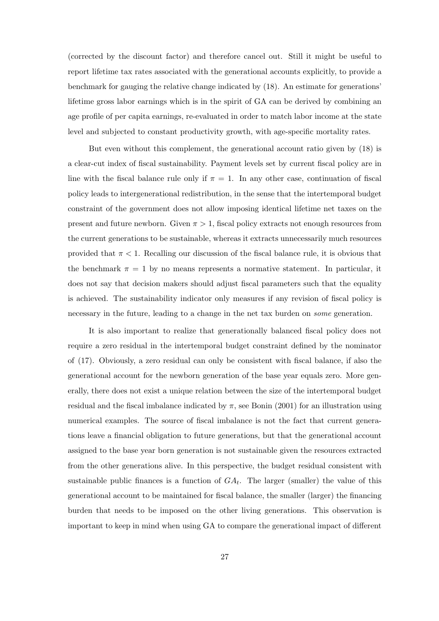(corrected by the discount factor) and therefore cancel out. Still it might be useful to report lifetime tax rates associated with the generational accounts explicitly, to provide a benchmark for gauging the relative change indicated by (18). An estimate for generations' lifetime gross labor earnings which is in the spirit of GA can be derived by combining an age profile of per capita earnings, re-evaluated in order to match labor income at the state level and subjected to constant productivity growth, with age-specific mortality rates.

But even without this complement, the generational account ratio given by (18) is a clear-cut index of fiscal sustainability. Payment levels set by current fiscal policy are in line with the fiscal balance rule only if  $\pi = 1$ . In any other case, continuation of fiscal policy leads to intergenerational redistribution, in the sense that the intertemporal budget constraint of the government does not allow imposing identical lifetime net taxes on the present and future newborn. Given  $\pi > 1$ , fiscal policy extracts not enough resources from the current generations to be sustainable, whereas it extracts unnecessarily much resources provided that  $\pi < 1$ . Recalling our discussion of the fiscal balance rule, it is obvious that the benchmark  $\pi = 1$  by no means represents a normative statement. In particular, it does not say that decision makers should adjust fiscal parameters such that the equality is achieved. The sustainability indicator only measures if any revision of fiscal policy is necessary in the future, leading to a change in the net tax burden on some generation.

It is also important to realize that generationally balanced fiscal policy does not require a zero residual in the intertemporal budget constraint defined by the nominator of (17). Obviously, a zero residual can only be consistent with fiscal balance, if also the generational account for the newborn generation of the base year equals zero. More generally, there does not exist a unique relation between the size of the intertemporal budget residual and the fiscal imbalance indicated by  $\pi$ , see Bonin (2001) for an illustration using numerical examples. The source of fiscal imbalance is not the fact that current generations leave a financial obligation to future generations, but that the generational account assigned to the base year born generation is not sustainable given the resources extracted from the other generations alive. In this perspective, the budget residual consistent with sustainable public finances is a function of  $GA_t$ . The larger (smaller) the value of this generational account to be maintained for fiscal balance, the smaller (larger) the financing burden that needs to be imposed on the other living generations. This observation is important to keep in mind when using GA to compare the generational impact of different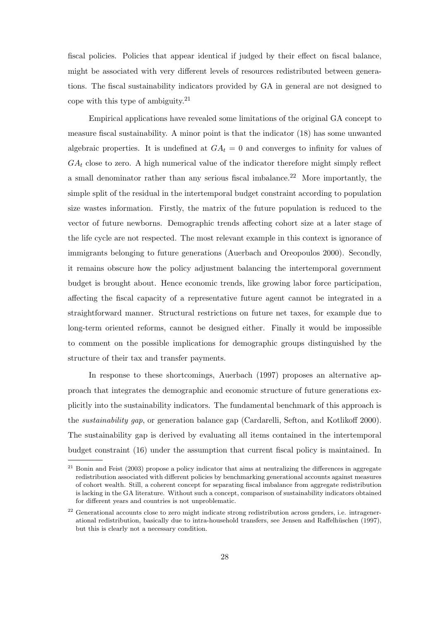fiscal policies. Policies that appear identical if judged by their effect on fiscal balance, might be associated with very different levels of resources redistributed between generations. The fiscal sustainability indicators provided by GA in general are not designed to cope with this type of ambiguity.<sup>21</sup>

Empirical applications have revealed some limitations of the original GA concept to measure fiscal sustainability. A minor point is that the indicator (18) has some unwanted algebraic properties. It is undefined at  $GA_t = 0$  and converges to infinity for values of  $GA_t$  close to zero. A high numerical value of the indicator therefore might simply reflect a small denominator rather than any serious fiscal imbalance. <sup>22</sup> More importantly, the simple split of the residual in the intertemporal budget constraint according to population size wastes information. Firstly, the matrix of the future population is reduced to the vector of future newborns. Demographic trends affecting cohort size at a later stage of the life cycle are not respected. The most relevant example in this context is ignorance of immigrants belonging to future generations (Auerbach and Oreopoulos 2000). Secondly, it remains obscure how the policy adjustment balancing the intertemporal government budget is brought about. Hence economic trends, like growing labor force participation, affecting the fiscal capacity of a representative future agent cannot be integrated in a straightforward manner. Structural restrictions on future net taxes, for example due to long-term oriented reforms, cannot be designed either. Finally it would be impossible to comment on the possible implications for demographic groups distinguished by the structure of their tax and transfer payments.

In response to these shortcomings, Auerbach (1997) proposes an alternative approach that integrates the demographic and economic structure of future generations explicitly into the sustainability indicators. The fundamental benchmark of this approach is the sustainability gap, or generation balance gap (Cardarelli, Sefton, and Kotlikoff 2000). The sustainability gap is derived by evaluating all items contained in the intertemporal budget constraint (16) under the assumption that current fiscal policy is maintained. In

 $21$  Bonin and Feist (2003) propose a policy indicator that aims at neutralizing the differences in aggregate redistribution associated with different policies by benchmarking generational accounts against measures of cohort wealth. Still, a coherent concept for separating fiscal imbalance from aggregate redistribution is lacking in the GA literature. Without such a concept, comparison of sustainability indicators obtained for different years and countries is not unproblematic.

<sup>&</sup>lt;sup>22</sup> Generational accounts close to zero might indicate strong redistribution across genders, i.e. intragenerational redistribution, basically due to intra-household transfers, see Jensen and Raffelhüschen (1997), but this is clearly not a necessary condition.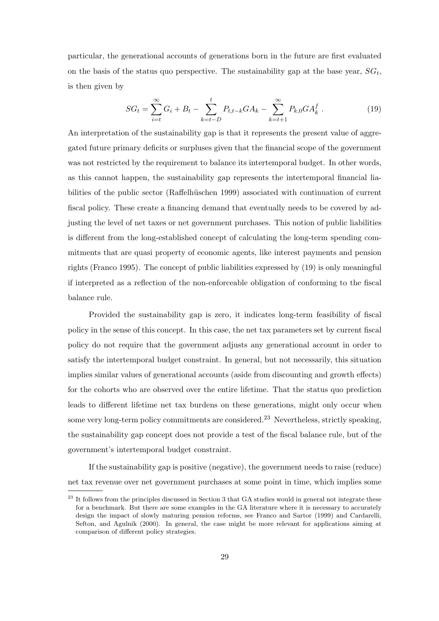particular, the generational accounts of generations born in the future are first evaluated on the basis of the status quo perspective. The sustainability gap at the base year,  $SG_t$ , is then given by

$$
SG_t = \sum_{i=t}^{\infty} G_i + B_t - \sum_{k=t-D}^{t} P_{t,t-k} GA_k - \sum_{k=t+1}^{\infty} P_{k,0} GA_k^f.
$$
 (19)

An interpretation of the sustainability gap is that it represents the present value of aggregated future primary deficits or surpluses given that the financial scope of the government was not restricted by the requirement to balance its intertemporal budget. In other words, as this cannot happen, the sustainability gap represents the intertemporal financial liabilities of the public sector (Raffelhüschen 1999) associated with continuation of current fiscal policy. These create a financing demand that eventually needs to be covered by adjusting the level of net taxes or net government purchases. This notion of public liabilities is different from the long-established concept of calculating the long-term spending commitments that are quasi property of economic agents, like interest payments and pension rights (Franco 1995). The concept of public liabilities expressed by (19) is only meaningful if interpreted as a reflection of the non-enforceable obligation of conforming to the fiscal balance rule.

Provided the sustainability gap is zero, it indicates long-term feasibility of fiscal policy in the sense of this concept. In this case, the net tax parameters set by current fiscal policy do not require that the government adjusts any generational account in order to satisfy the intertemporal budget constraint. In general, but not necessarily, this situation implies similar values of generational accounts (aside from discounting and growth effects) for the cohorts who are observed over the entire lifetime. That the status quo prediction leads to different lifetime net tax burdens on these generations, might only occur when some very long-term policy commitments are considered.<sup>23</sup> Nevertheless, strictly speaking, the sustainability gap concept does not provide a test of the fiscal balance rule, but of the government's intertemporal budget constraint.

If the sustainability gap is positive (negative), the government needs to raise (reduce) net tax revenue over net government purchases at some point in time, which implies some

<sup>&</sup>lt;sup>23</sup> It follows from the principles discussed in Section 3 that GA studies would in general not integrate these for a benchmark. But there are some examples in the GA literature where it is necessary to accurately design the impact of slowly maturing pension reforms, see Franco and Sartor (1999) and Cardarelli, Sefton, and Agulnik (2000). In general, the case might be more relevant for applications aiming at comparison of different policy strategies.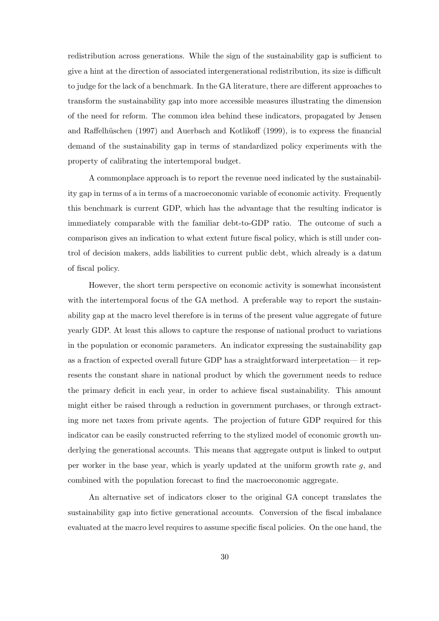redistribution across generations. While the sign of the sustainability gap is sufficient to give a hint at the direction of associated intergenerational redistribution, its size is difficult to judge for the lack of a benchmark. In the GA literature, there are different approaches to transform the sustainability gap into more accessible measures illustrating the dimension of the need for reform. The common idea behind these indicators, propagated by Jensen and Raffelhüschen (1997) and Auerbach and Kotlikoff (1999), is to express the financial demand of the sustainability gap in terms of standardized policy experiments with the property of calibrating the intertemporal budget.

A commonplace approach is to report the revenue need indicated by the sustainability gap in terms of a in terms of a macroeconomic variable of economic activity. Frequently this benchmark is current GDP, which has the advantage that the resulting indicator is immediately comparable with the familiar debt-to-GDP ratio. The outcome of such a comparison gives an indication to what extent future fiscal policy, which is still under control of decision makers, adds liabilities to current public debt, which already is a datum of fiscal policy.

However, the short term perspective on economic activity is somewhat inconsistent with the intertemporal focus of the GA method. A preferable way to report the sustainability gap at the macro level therefore is in terms of the present value aggregate of future yearly GDP. At least this allows to capture the response of national product to variations in the population or economic parameters. An indicator expressing the sustainability gap as a fraction of expected overall future GDP has a straightforward interpretation— it represents the constant share in national product by which the government needs to reduce the primary deficit in each year, in order to achieve fiscal sustainability. This amount might either be raised through a reduction in government purchases, or through extracting more net taxes from private agents. The projection of future GDP required for this indicator can be easily constructed referring to the stylized model of economic growth underlying the generational accounts. This means that aggregate output is linked to output per worker in the base year, which is yearly updated at the uniform growth rate  $q$ , and combined with the population forecast to find the macroeconomic aggregate.

An alternative set of indicators closer to the original GA concept translates the sustainability gap into fictive generational accounts. Conversion of the fiscal imbalance evaluated at the macro level requires to assume specific fiscal policies. On the one hand, the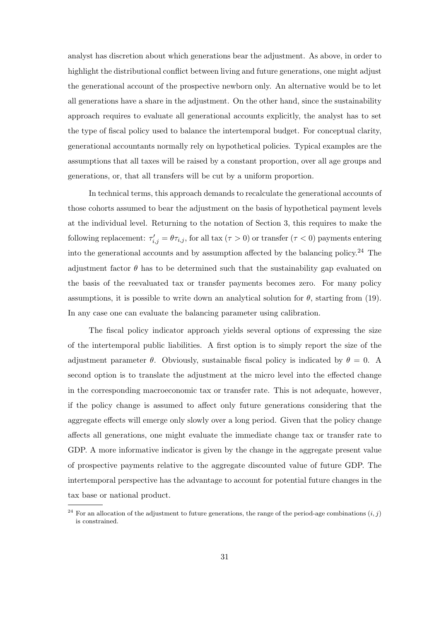analyst has discretion about which generations bear the adjustment. As above, in order to highlight the distributional conflict between living and future generations, one might adjust the generational account of the prospective newborn only. An alternative would be to let all generations have a share in the adjustment. On the other hand, since the sustainability approach requires to evaluate all generational accounts explicitly, the analyst has to set the type of fiscal policy used to balance the intertemporal budget. For conceptual clarity, generational accountants normally rely on hypothetical policies. Typical examples are the assumptions that all taxes will be raised by a constant proportion, over all age groups and generations, or, that all transfers will be cut by a uniform proportion.

In technical terms, this approach demands to recalculate the generational accounts of those cohorts assumed to bear the adjustment on the basis of hypothetical payment levels at the individual level. Returning to the notation of Section 3, this requires to make the following replacement:  $\tau'_{i,j} = \theta \tau_{i,j}$ , for all tax  $(\tau > 0)$  or transfer  $(\tau < 0)$  payments entering into the generational accounts and by assumption affected by the balancing policy.<sup>24</sup> The adjustment factor  $\theta$  has to be determined such that the sustainability gap evaluated on the basis of the reevaluated tax or transfer payments becomes zero. For many policy assumptions, it is possible to write down an analytical solution for  $\theta$ , starting from (19). In any case one can evaluate the balancing parameter using calibration.

The fiscal policy indicator approach yields several options of expressing the size of the intertemporal public liabilities. A first option is to simply report the size of the adjustment parameter  $\theta$ . Obviously, sustainable fiscal policy is indicated by  $\theta = 0$ . A second option is to translate the adjustment at the micro level into the effected change in the corresponding macroeconomic tax or transfer rate. This is not adequate, however, if the policy change is assumed to affect only future generations considering that the aggregate effects will emerge only slowly over a long period. Given that the policy change affects all generations, one might evaluate the immediate change tax or transfer rate to GDP. A more informative indicator is given by the change in the aggregate present value of prospective payments relative to the aggregate discounted value of future GDP. The intertemporal perspective has the advantage to account for potential future changes in the tax base or national product.

<sup>&</sup>lt;sup>24</sup> For an allocation of the adjustment to future generations, the range of the period-age combinations  $(i, j)$ is constrained.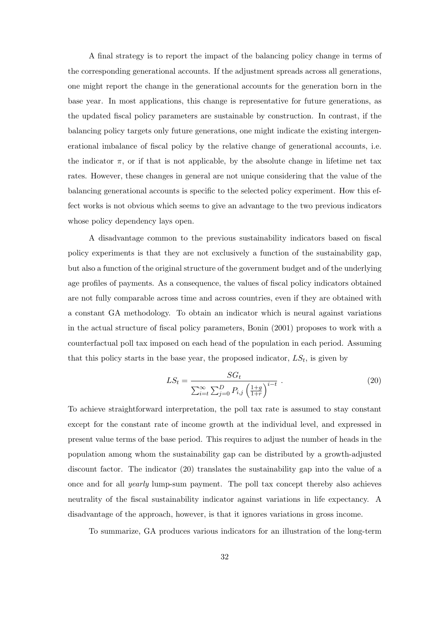A final strategy is to report the impact of the balancing policy change in terms of the corresponding generational accounts. If the adjustment spreads across all generations, one might report the change in the generational accounts for the generation born in the base year. In most applications, this change is representative for future generations, as the updated fiscal policy parameters are sustainable by construction. In contrast, if the balancing policy targets only future generations, one might indicate the existing intergenerational imbalance of fiscal policy by the relative change of generational accounts, i.e. the indicator  $\pi$ , or if that is not applicable, by the absolute change in lifetime net tax rates. However, these changes in general are not unique considering that the value of the balancing generational accounts is specific to the selected policy experiment. How this effect works is not obvious which seems to give an advantage to the two previous indicators whose policy dependency lays open.

A disadvantage common to the previous sustainability indicators based on fiscal policy experiments is that they are not exclusively a function of the sustainability gap, but also a function of the original structure of the government budget and of the underlying age profiles of payments. As a consequence, the values of fiscal policy indicators obtained are not fully comparable across time and across countries, even if they are obtained with a constant GA methodology. To obtain an indicator which is neural against variations in the actual structure of fiscal policy parameters, Bonin (2001) proposes to work with a counterfactual poll tax imposed on each head of the population in each period. Assuming that this policy starts in the base year, the proposed indicator,  $LS_t$ , is given by

$$
LS_{t} = \frac{SG_{t}}{\sum_{i=t}^{\infty} \sum_{j=0}^{D} P_{i,j} \left(\frac{1+g}{1+r}\right)^{i-t}} \tag{20}
$$

To achieve straightforward interpretation, the poll tax rate is assumed to stay constant except for the constant rate of income growth at the individual level, and expressed in present value terms of the base period. This requires to adjust the number of heads in the population among whom the sustainability gap can be distributed by a growth-adjusted discount factor. The indicator (20) translates the sustainability gap into the value of a once and for all yearly lump-sum payment. The poll tax concept thereby also achieves neutrality of the fiscal sustainability indicator against variations in life expectancy. A disadvantage of the approach, however, is that it ignores variations in gross income.

To summarize, GA produces various indicators for an illustration of the long-term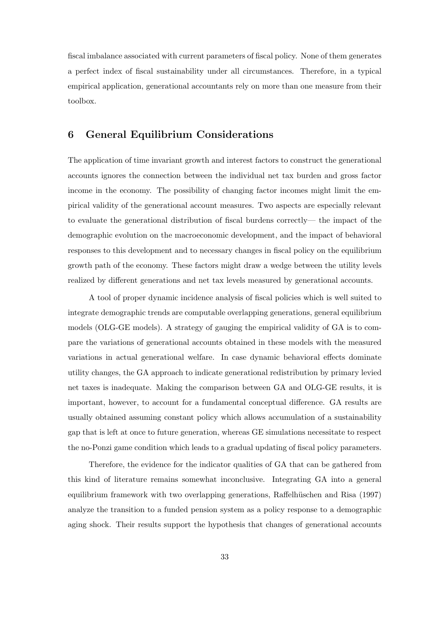fiscal imbalance associated with current parameters of fiscal policy. None of them generates a perfect index of fiscal sustainability under all circumstances. Therefore, in a typical empirical application, generational accountants rely on more than one measure from their toolbox.

#### 6 General Equilibrium Considerations

The application of time invariant growth and interest factors to construct the generational accounts ignores the connection between the individual net tax burden and gross factor income in the economy. The possibility of changing factor incomes might limit the empirical validity of the generational account measures. Two aspects are especially relevant to evaluate the generational distribution of fiscal burdens correctly— the impact of the demographic evolution on the macroeconomic development, and the impact of behavioral responses to this development and to necessary changes in fiscal policy on the equilibrium growth path of the economy. These factors might draw a wedge between the utility levels realized by different generations and net tax levels measured by generational accounts.

A tool of proper dynamic incidence analysis of fiscal policies which is well suited to integrate demographic trends are computable overlapping generations, general equilibrium models (OLG-GE models). A strategy of gauging the empirical validity of GA is to compare the variations of generational accounts obtained in these models with the measured variations in actual generational welfare. In case dynamic behavioral effects dominate utility changes, the GA approach to indicate generational redistribution by primary levied net taxes is inadequate. Making the comparison between GA and OLG-GE results, it is important, however, to account for a fundamental conceptual difference. GA results are usually obtained assuming constant policy which allows accumulation of a sustainability gap that is left at once to future generation, whereas GE simulations necessitate to respect the no-Ponzi game condition which leads to a gradual updating of fiscal policy parameters.

Therefore, the evidence for the indicator qualities of GA that can be gathered from this kind of literature remains somewhat inconclusive. Integrating GA into a general equilibrium framework with two overlapping generations, Raffelhüschen and Risa (1997) analyze the transition to a funded pension system as a policy response to a demographic aging shock. Their results support the hypothesis that changes of generational accounts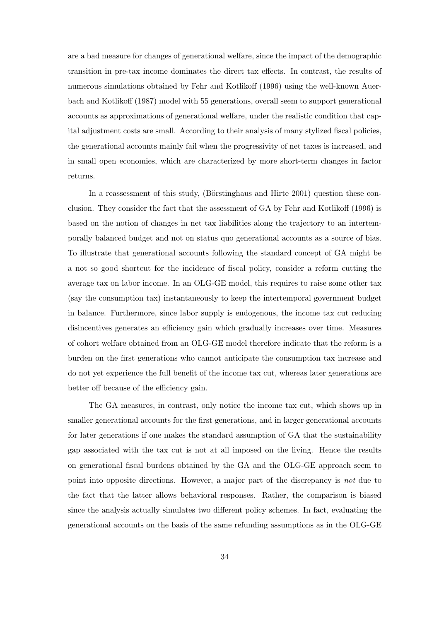are a bad measure for changes of generational welfare, since the impact of the demographic transition in pre-tax income dominates the direct tax effects. In contrast, the results of numerous simulations obtained by Fehr and Kotlikoff (1996) using the well-known Auerbach and Kotlikoff (1987) model with 55 generations, overall seem to support generational accounts as approximations of generational welfare, under the realistic condition that capital adjustment costs are small. According to their analysis of many stylized fiscal policies, the generational accounts mainly fail when the progressivity of net taxes is increased, and in small open economies, which are characterized by more short-term changes in factor returns.

In a reassessment of this study, (Börstinghaus and Hirte  $2001$ ) question these conclusion. They consider the fact that the assessment of GA by Fehr and Kotlikoff (1996) is based on the notion of changes in net tax liabilities along the trajectory to an intertemporally balanced budget and not on status quo generational accounts as a source of bias. To illustrate that generational accounts following the standard concept of GA might be a not so good shortcut for the incidence of fiscal policy, consider a reform cutting the average tax on labor income. In an OLG-GE model, this requires to raise some other tax (say the consumption tax) instantaneously to keep the intertemporal government budget in balance. Furthermore, since labor supply is endogenous, the income tax cut reducing disincentives generates an efficiency gain which gradually increases over time. Measures of cohort welfare obtained from an OLG-GE model therefore indicate that the reform is a burden on the first generations who cannot anticipate the consumption tax increase and do not yet experience the full benefit of the income tax cut, whereas later generations are better off because of the efficiency gain.

The GA measures, in contrast, only notice the income tax cut, which shows up in smaller generational accounts for the first generations, and in larger generational accounts for later generations if one makes the standard assumption of GA that the sustainability gap associated with the tax cut is not at all imposed on the living. Hence the results on generational fiscal burdens obtained by the GA and the OLG-GE approach seem to point into opposite directions. However, a major part of the discrepancy is not due to the fact that the latter allows behavioral responses. Rather, the comparison is biased since the analysis actually simulates two different policy schemes. In fact, evaluating the generational accounts on the basis of the same refunding assumptions as in the OLG-GE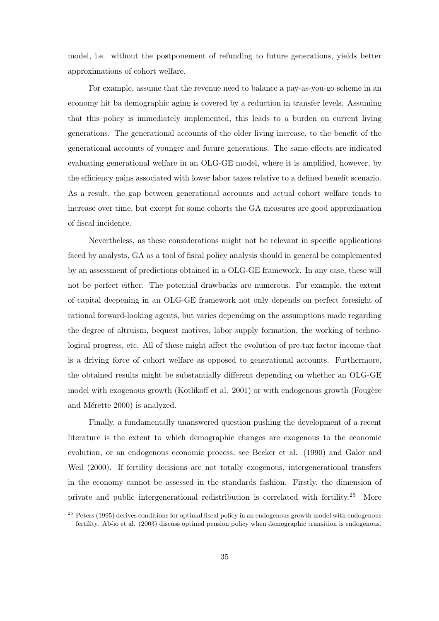model, i.e. without the postponement of refunding to future generations, yields better approximations of cohort welfare.

For example, assume that the revenue need to balance a pay-as-you-go scheme in an economy hit ba demographic aging is covered by a reduction in transfer levels. Assuming that this policy is immediately implemented, this leads to a burden on current living generations. The generational accounts of the older living increase, to the benefit of the generational accounts of younger and future generations. The same effects are indicated evaluating generational welfare in an OLG-GE model, where it is amplified, however, by the efficiency gains associated with lower labor taxes relative to a defined benefit scenario. As a result, the gap between generational accounts and actual cohort welfare tends to increase over time, but except for some cohorts the GA measures are good approximation of fiscal incidence.

Nevertheless, as these considerations might not be relevant in specific applications faced by analysts, GA as a tool of fiscal policy analysis should in general be complemented by an assessment of predictions obtained in a OLG-GE framework. In any case, these will not be perfect either. The potential drawbacks are numerous. For example, the extent of capital deepening in an OLG-GE framework not only depends on perfect foresight of rational forward-looking agents, but varies depending on the assumptions made regarding the degree of altruism, bequest motives, labor supply formation, the working of technological progress, etc. All of these might affect the evolution of pre-tax factor income that is a driving force of cohort welfare as opposed to generational accounts. Furthermore, the obtained results might be substantially different depending on whether an OLG-GE model with exogenous growth (Kotlikoff et al. 2001) or with endogenous growth (Fougère and Mérette 2000) is analyzed.

Finally, a fundamentally unanswered question pushing the development of a recent literature is the extent to which demographic changes are exogenous to the economic evolution, or an endogenous economic process, see Becker et al. (1990) and Galor and Weil (2000). If fertility decisions are not totally exogenous, intergenerational transfers in the economy cannot be assessed in the standards fashion. Firstly, the dimension of private and public intergenerational redistribution is correlated with fertility.<sup>25</sup> More

<sup>&</sup>lt;sup>25</sup> Peters (1995) derives conditions for optimal fiscal policy in an endogenous growth model with endogenous fertility. Ab<sup>2</sup>io et al. (2003) discuss optimal pension policy when demographic transition is endogenous.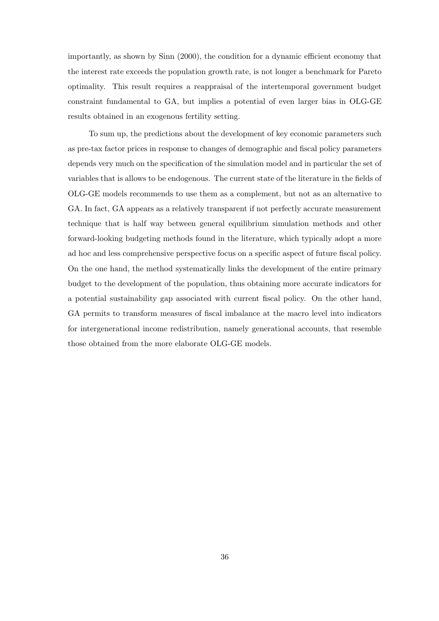importantly, as shown by Sinn (2000), the condition for a dynamic efficient economy that the interest rate exceeds the population growth rate, is not longer a benchmark for Pareto optimality. This result requires a reappraisal of the intertemporal government budget constraint fundamental to GA, but implies a potential of even larger bias in OLG-GE results obtained in an exogenous fertility setting.

To sum up, the predictions about the development of key economic parameters such as pre-tax factor prices in response to changes of demographic and fiscal policy parameters depends very much on the specification of the simulation model and in particular the set of variables that is allows to be endogenous. The current state of the literature in the fields of OLG-GE models recommends to use them as a complement, but not as an alternative to GA. In fact, GA appears as a relatively transparent if not perfectly accurate measurement technique that is half way between general equilibrium simulation methods and other forward-looking budgeting methods found in the literature, which typically adopt a more ad hoc and less comprehensive perspective focus on a specific aspect of future fiscal policy. On the one hand, the method systematically links the development of the entire primary budget to the development of the population, thus obtaining more accurate indicators for a potential sustainability gap associated with current fiscal policy. On the other hand, GA permits to transform measures of fiscal imbalance at the macro level into indicators for intergenerational income redistribution, namely generational accounts, that resemble those obtained from the more elaborate OLG-GE models.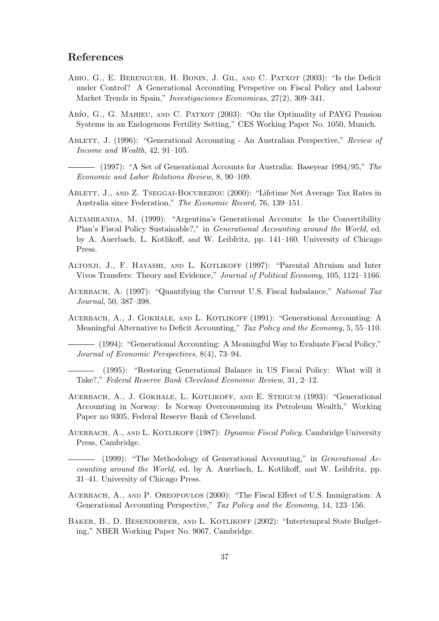#### References

- ABIO, G., E. BERENGUER, H. BONIN, J. GIL, AND C. PATXOT (2003): "Is the Deficit under Control? A Generational Accounting Perspetive on Fiscal Policy and Labour Market Trends in Spain," Investigaciones Economicas, 27(2), 309–341.
- Abío, G., G. MAHIEU, AND C. PATXOT (2003): "On the Optimality of PAYG Pension Systems in an Endogenous Fertility Setting," CES Working Paper No. 1050, Munich.
- ABLETT, J. (1996): "Generational Accounting An Australian Perspective," Review of Income and Wealth, 42, 91–105.
	- (1997): "A Set of Generational Accounts for Australia: Baseyear 1994/95," The Economic and Labor Relations Review, 8, 90–109.
- ABLETT, J., AND Z. TSEGGAI-BOCUREZIOU (2000): "Lifetime Net Average Tax Rates in Australia since Federation," The Economic Record, 76, 139–151.
- Altamiranda, M. (1999): "Argentina's Generational Accounts: Is the Convertibility Plan's Fiscal Policy Sustainable?," in Generational Accounting around the World, ed. by A. Auerbach, L. Kotlikoff, and W. Leibfritz, pp. 141–160. University of Chicago Press.
- Altonji, J., F. Hayashi, and L. Kotlikoff (1997): "Parental Altruism and Inter Vivos Transfers: Theory and Evidence," Journal of Political Economy, 105, 1121–1166.
- AUERBACH, A. (1997): "Quantifying the Current U.S. Fiscal Imbalance," National Tax Journal, 50, 387–398.
- AUERBACH, A., J. GOKHALE, AND L. KOTLIKOFF (1991): "Generational Accounting: A Meaningful Alternative to Deficit Accounting," Tax Policy and the Economy, 5, 55–110.

(1994): "Generational Accounting: A Meaningful Way to Evaluate Fiscal Policy," Journal of Economic Perspectives, 8(4), 73–94.

(1995): "Restoring Generational Balance in US Fiscal Policy: What will it Take?," Federal Reserve Bank Cleveland Economic Review, 31, 2–12.

- AUERBACH, A., J. GOKHALE, L. KOTLIKOFF, AND E. STEIGUM (1993): "Generational Accounting in Norway: Is Norway Overconsuming its Petroleum Wealth," Working Paper no 9305, Federal Reserve Bank of Cleveland.
- AUERBACH, A., AND L. KOTLIKOFF (1987): *Dynamic Fiscal Policy*. Cambridge University Press, Cambridge.

(1999): "The Methodology of Generational Accounting," in Generational Accounting around the World, ed. by A. Auerbach, L. Kotlikoff, and W. Leibfritz, pp. 31–41. University of Chicago Press.

- AUERBACH, A., AND P. OREOPOULOS (2000): "The Fiscal Effect of U.S. Immigration: A Generational Accounting Perspective," Tax Policy and the Economy, 14, 123–156.
- Baker, B., D. Besendorfer, and L. Kotlikoff (2002): "Intertempral State Budgeting," NBER Working Paper No. 9067, Cambridge.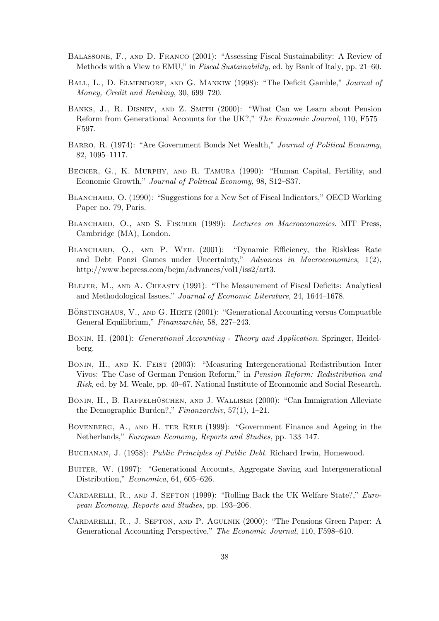- Balassone, F., and D. Franco (2001): "Assessing Fiscal Sustainability: A Review of Methods with a View to EMU," in Fiscal Sustainability, ed. by Bank of Italy, pp. 21–60.
- BALL, L., D. ELMENDORF, AND G. MANKIW (1998): "The Deficit Gamble," Journal of Money, Credit and Banking, 30, 699–720.
- Banks, J., R. Disney, and Z. Smith (2000): "What Can we Learn about Pension Reform from Generational Accounts for the UK?," The Economic Journal, 110, F575– F597.
- Barro, R. (1974): "Are Government Bonds Net Wealth," Journal of Political Economy, 82, 1095–1117.
- Becker, G., K. Murphy, and R. Tamura (1990): "Human Capital, Fertility, and Economic Growth," Journal of Political Economy, 98, S12–S37.
- BLANCHARD, O. (1990): "Suggestions for a New Set of Fiscal Indicators," OECD Working Paper no. 79, Paris.
- BLANCHARD, O., AND S. FISCHER (1989): Lectures on Macroeconomics. MIT Press, Cambridge (MA), London.
- Blanchard, O., and P. Weil (2001): "Dynamic Efficiency, the Riskless Rate and Debt Ponzi Games under Uncertainty," Advances in Macroeconomics,  $1(2)$ , http://www.bepress.com/bejm/advances/vol1/iss2/art3.
- BLEJER, M., AND A. CHEASTY (1991): "The Measurement of Fiscal Deficits: Analytical and Methodological Issues," Journal of Economic Literature, 24, 1644–1678.
- BÖRSTINGHAUS, V., AND G. HIRTE (2001): "Generational Accounting versus Compuatble General Equilibrium," Finanzarchiv, 58, 227–243.
- Bonin, H. (2001): Generational Accounting Theory and Application. Springer, Heidelberg.
- Bonin, H., and K. Feist (2003): "Measuring Intergenerational Redistribution Inter Vivos: The Case of German Pension Reform," in Pension Reform: Redistribution and Risk, ed. by M. Weale, pp. 40–67. National Institute of Econnomic and Social Research.
- BONIN, H., B. RAFFELHÜSCHEN, AND J. WALLISER (2000): "Can Immigration Alleviate the Demographic Burden?," Finanzarchiv, 57(1), 1–21.
- Bovenberg, A., and H. ter Rele (1999): "Government Finance and Ageing in the Netherlands," European Economy, Reports and Studies, pp. 133–147.
- Buchanan, J. (1958): Public Principles of Public Debt. Richard Irwin, Homewood.
- BUITER, W. (1997): "Generational Accounts, Aggregate Saving and Intergenerational Distribution," Economica, 64, 605–626.
- CARDARELLI, R., AND J. SEFTON (1999): "Rolling Back the UK Welfare State?," European Economy, Reports and Studies, pp. 193–206.
- Cardarelli, R., J. Sefton, and P. Agulnik (2000): "The Pensions Green Paper: A Generational Accounting Perspective," The Economic Journal, 110, F598–610.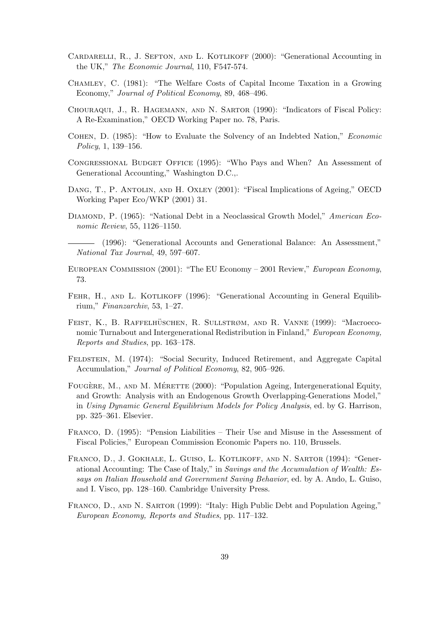- CARDARELLI, R., J. SEFTON, AND L. KOTLIKOFF (2000): "Generational Accounting in the UK," The Economic Journal, 110, F547-574.
- Chamley, C. (1981): "The Welfare Costs of Capital Income Taxation in a Growing Economy," Journal of Political Economy, 89, 468–496.
- Chouraqui, J., R. Hagemann, and N. Sartor (1990): "Indicators of Fiscal Policy: A Re-Examination," OECD Working Paper no. 78, Paris.
- Cohen, D. (1985): "How to Evaluate the Solvency of an Indebted Nation," Economic Policy, 1, 139–156.
- Congressional Budget Office (1995): "Who Pays and When? An Assessment of Generational Accounting," Washington D.C.,.
- Dang, T., P. Antolin, and H. Oxley (2001): "Fiscal Implications of Ageing," OECD Working Paper Eco/WKP (2001) 31.
- DIAMOND, P. (1965): "National Debt in a Neoclassical Growth Model," American Economic Review, 55, 1126–1150.
	- (1996): "Generational Accounts and Generational Balance: An Assessment," National Tax Journal, 49, 597–607.
- European Commission (2001): "The EU Economy 2001 Review," European Economy, 73.
- FEHR, H., AND L. KOTLIKOFF (1996): "Generational Accounting in General Equilibrium," Finanzarchiv, 53, 1–27.
- FEIST, K., B. RAFFELHÜSCHEN, R. SULLSTRØM, AND R. VANNE (1999): "Macroeconomic Turnabout and Intergenerational Redistribution in Finland," European Economy, Reports and Studies, pp. 163–178.
- FELDSTEIN, M. (1974): "Social Security, Induced Retirement, and Aggregate Capital Accumulation," Journal of Political Economy, 82, 905–926.
- FOUGÈRE, M., AND M. MÉRETTE (2000): "Population Ageing, Intergenerational Equity, and Growth: Analysis with an Endogenous Growth Overlapping-Generations Model," in Using Dynamic General Equilibrium Models for Policy Analysis, ed. by G. Harrison, pp. 325–361. Elsevier.
- Franco, D. (1995): "Pension Liabilities Their Use and Misuse in the Assessment of Fiscal Policies," European Commission Economic Papers no. 110, Brussels.
- Franco, D., J. Gokhale, L. Guiso, L. Kotlikoff, and N. Sartor (1994): "Generational Accounting: The Case of Italy," in Savings and the Accumulation of Wealth: Essays on Italian Household and Government Saving Behavior, ed. by A. Ando, L. Guiso, and I. Visco, pp. 128–160. Cambridge University Press.
- Franco, D., and N. Sartor (1999): "Italy: High Public Debt and Population Ageing," European Economy, Reports and Studies, pp. 117–132.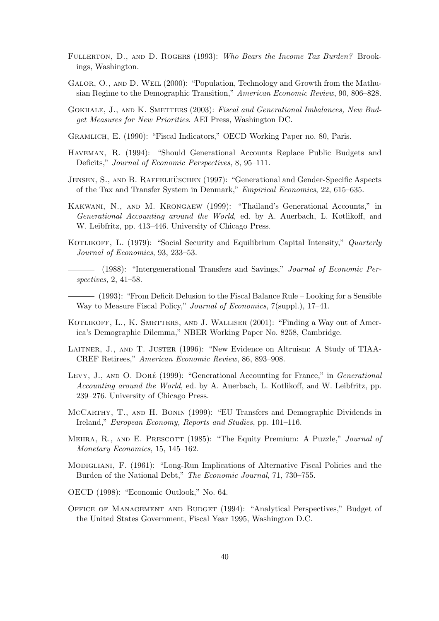- FULLERTON, D., AND D. ROGERS (1993): Who Bears the Income Tax Burden? Brookings, Washington.
- Galor, O., and D. Weil (2000): "Population, Technology and Growth from the Mathusian Regime to the Demographic Transition," American Economic Review, 90, 806–828.
- GOKHALE, J., AND K. SMETTERS (2003): Fiscal and Generational Imbalances, New Budget Measures for New Priorities. AEI Press, Washington DC.
- Gramlich, E. (1990): "Fiscal Indicators," OECD Working Paper no. 80, Paris.
- Haveman, R. (1994): "Should Generational Accounts Replace Public Budgets and Deficits," Journal of Economic Perspectives, 8, 95–111.
- JENSEN, S., AND B. RAFFELHÜSCHEN (1997): "Generational and Gender-Specific Aspects of the Tax and Transfer System in Denmark," Empirical Economics, 22, 615–635.
- Kakwani, N., and M. Krongaew (1999): "Thailand's Generational Accounts," in Generational Accounting around the World, ed. by A. Auerbach, L. Kotlikoff, and W. Leibfritz, pp. 413–446. University of Chicago Press.
- KOTLIKOFF, L. (1979): "Social Security and Equilibrium Capital Intensity," Quarterly Journal of Economics, 93, 233–53.
	- (1988): "Intergenerational Transfers and Savings," Journal of Economic Perspectives, 2, 41–58.
- (1993): "From Deficit Delusion to the Fiscal Balance Rule Looking for a Sensible Way to Measure Fiscal Policy," Journal of Economics, 7(suppl.), 17–41.
- KOTLIKOFF, L., K. SMETTERS, AND J. WALLISER (2001): "Finding a Way out of America's Demographic Dilemma," NBER Working Paper No. 8258, Cambridge.
- Laitner, J., and T. Juster (1996): "New Evidence on Altruism: A Study of TIAA-CREF Retirees," American Economic Review, 86, 893–908.
- LEVY, J., AND O. DORÉ (1999): "Generational Accounting for France," in Generational Accounting around the World, ed. by A. Auerbach, L. Kotlikoff, and W. Leibfritz, pp. 239–276. University of Chicago Press.
- McCarthy, T., and H. Bonin (1999): "EU Transfers and Demographic Dividends in Ireland," European Economy, Reports and Studies, pp. 101–116.
- MEHRA, R., AND E. PRESCOTT (1985): "The Equity Premium: A Puzzle," Journal of Monetary Economics, 15, 145–162.
- Modigliani, F. (1961): "Long-Run Implications of Alternative Fiscal Policies and the Burden of the National Debt," The Economic Journal, 71, 730–755.
- OECD (1998): "Economic Outlook," No. 64.
- Office of Management and Budget (1994): "Analytical Perspectives," Budget of the United States Government, Fiscal Year 1995, Washington D.C.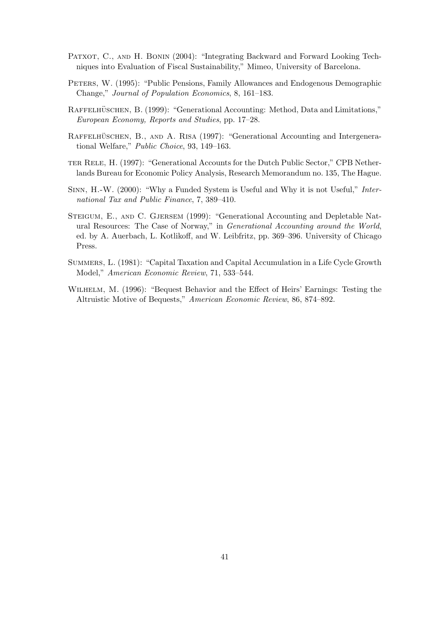- PATXOT, C., AND H. BONIN (2004): "Integrating Backward and Forward Looking Techniques into Evaluation of Fiscal Sustainability," Mimeo, University of Barcelona.
- PETERS, W. (1995): "Public Pensions, Family Allowances and Endogenous Demographic Change," Journal of Population Economics, 8, 161–183.
- RAFFELHÜSCHEN, B. (1999): "Generational Accounting: Method, Data and Limitations," European Economy, Reports and Studies, pp. 17–28.
- RAFFELHÜSCHEN, B., AND A. RISA (1997): "Generational Accounting and Intergenerational Welfare," Public Choice, 93, 149–163.
- ter Rele, H. (1997): "Generational Accounts for the Dutch Public Sector," CPB Netherlands Bureau for Economic Policy Analysis, Research Memorandum no. 135, The Hague.
- Sinn, H.-W. (2000): "Why a Funded System is Useful and Why it is not Useful," International Tax and Public Finance, 7, 389–410.
- Steigum, E., and C. Gjersem (1999): "Generational Accounting and Depletable Natural Resources: The Case of Norway," in Generational Accounting around the World, ed. by A. Auerbach, L. Kotlikoff, and W. Leibfritz, pp. 369–396. University of Chicago Press.
- Summers, L. (1981): "Capital Taxation and Capital Accumulation in a Life Cycle Growth Model," American Economic Review, 71, 533–544.
- Wilhelm, M. (1996): "Bequest Behavior and the Effect of Heirs' Earnings: Testing the Altruistic Motive of Bequests," American Economic Review, 86, 874–892.